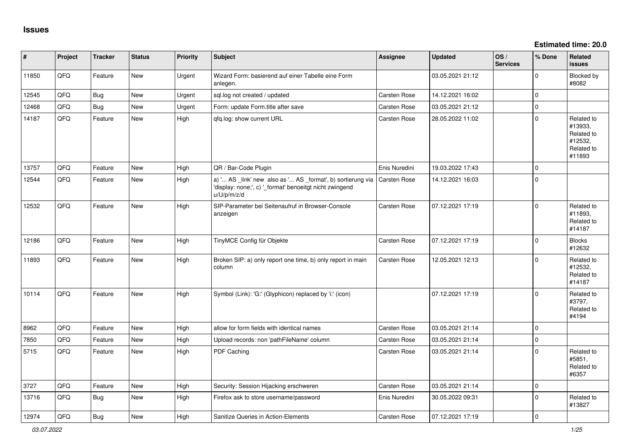**Estimated time: 20.0**

| #     | Project | <b>Tracker</b> | <b>Status</b> | <b>Priority</b> | Subject                                                                                                                                              | <b>Assignee</b>     | <b>Updated</b>   | OS/<br><b>Services</b> | % Done      | Related<br><b>issues</b>                                               |
|-------|---------|----------------|---------------|-----------------|------------------------------------------------------------------------------------------------------------------------------------------------------|---------------------|------------------|------------------------|-------------|------------------------------------------------------------------------|
| 11850 | QFQ     | Feature        | New           | Urgent          | Wizard Form: basierend auf einer Tabelle eine Form<br>anlegen.                                                                                       |                     | 03.05.2021 21:12 |                        | 0           | Blocked by<br>#8082                                                    |
| 12545 | QFQ     | <b>Bug</b>     | <b>New</b>    | Urgent          | sql.log not created / updated                                                                                                                        | <b>Carsten Rose</b> | 14.12.2021 16:02 |                        | $\mathbf 0$ |                                                                        |
| 12468 | QFQ     | <b>Bug</b>     | New           | Urgent          | Form: update Form.title after save                                                                                                                   | Carsten Rose        | 03.05.2021 21:12 |                        | 0           |                                                                        |
| 14187 | QFQ     | Feature        | <b>New</b>    | High            | gfg.log: show current URL                                                                                                                            | <b>Carsten Rose</b> | 28.05.2022 11:02 |                        | $\mathbf 0$ | Related to<br>#13933,<br>Related to<br>#12532,<br>Related to<br>#11893 |
| 13757 | QFQ     | Feature        | <b>New</b>    | High            | QR / Bar-Code Plugin                                                                                                                                 | Enis Nuredini       | 19.03.2022 17:43 |                        | 0           |                                                                        |
| 12544 | QFQ     | Feature        | New           | High            | a) ' AS _link' new also as ' AS _format', b) sortierung via   Carsten Rose<br>'display: none;', c) '_format' benoeitgt nicht zwingend<br>u/U/p/m/z/d |                     | 14.12.2021 16:03 |                        | $\Omega$    |                                                                        |
| 12532 | QFQ     | Feature        | <b>New</b>    | High            | SIP-Parameter bei Seitenaufruf in Browser-Console<br>anzeigen                                                                                        | Carsten Rose        | 07.12.2021 17:19 |                        | $\mathbf 0$ | Related to<br>#11893,<br>Related to<br>#14187                          |
| 12186 | QFQ     | Feature        | New           | High            | TinyMCE Config für Objekte                                                                                                                           | Carsten Rose        | 07.12.2021 17:19 |                        | $\Omega$    | <b>Blocks</b><br>#12632                                                |
| 11893 | QFQ     | Feature        | New           | High            | Broken SIP: a) only report one time, b) only report in main<br>column                                                                                | Carsten Rose        | 12.05.2021 12:13 |                        | $\Omega$    | Related to<br>#12532,<br>Related to<br>#14187                          |
| 10114 | QFQ     | Feature        | <b>New</b>    | High            | Symbol (Link): 'G:' (Glyphicon) replaced by 'i:' (icon)                                                                                              |                     | 07.12.2021 17:19 |                        | 0           | Related to<br>#3797,<br>Related to<br>#4194                            |
| 8962  | QFQ     | Feature        | <b>New</b>    | High            | allow for form fields with identical names                                                                                                           | <b>Carsten Rose</b> | 03.05.2021 21:14 |                        | $\mathbf 0$ |                                                                        |
| 7850  | QFQ     | Feature        | New           | High            | Upload records: non 'pathFileName' column                                                                                                            | Carsten Rose        | 03.05.2021 21:14 |                        | 0           |                                                                        |
| 5715  | QFQ     | Feature        | New           | High            | PDF Caching                                                                                                                                          | Carsten Rose        | 03.05.2021 21:14 |                        | $\Omega$    | Related to<br>#5851,<br>Related to<br>#6357                            |
| 3727  | QFQ     | Feature        | <b>New</b>    | High            | Security: Session Hijacking erschweren                                                                                                               | Carsten Rose        | 03.05.2021 21:14 |                        | $\mathbf 0$ |                                                                        |
| 13716 | QFQ     | Bug            | New           | High            | Firefox ask to store username/password                                                                                                               | Enis Nuredini       | 30.05.2022 09:31 |                        | $\Omega$    | Related to<br>#13827                                                   |
| 12974 | QFQ     | <b>Bug</b>     | <b>New</b>    | High            | Sanitize Queries in Action-Elements                                                                                                                  | <b>Carsten Rose</b> | 07.12.2021 17:19 |                        | $\mathbf 0$ |                                                                        |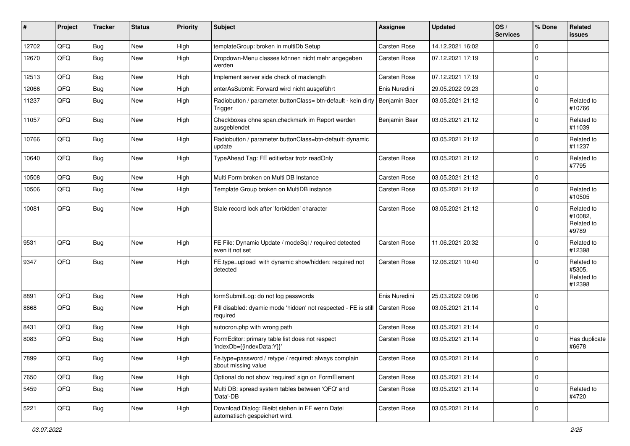| #     | Project | <b>Tracker</b> | <b>Status</b> | <b>Priority</b> | <b>Subject</b>                                                                   | <b>Assignee</b>     | <b>Updated</b>   | OS/<br><b>Services</b> | % Done      | Related<br><b>issues</b>                     |
|-------|---------|----------------|---------------|-----------------|----------------------------------------------------------------------------------|---------------------|------------------|------------------------|-------------|----------------------------------------------|
| 12702 | QFQ     | Bug            | New           | High            | templateGroup: broken in multiDb Setup                                           | Carsten Rose        | 14.12.2021 16:02 |                        | $\mathbf 0$ |                                              |
| 12670 | QFQ     | Bug            | <b>New</b>    | High            | Dropdown-Menu classes können nicht mehr angegeben<br>werden                      | Carsten Rose        | 07.12.2021 17:19 |                        | 0           |                                              |
| 12513 | QFQ     | Bug            | <b>New</b>    | High            | Implement server side check of maxlength                                         | Carsten Rose        | 07.12.2021 17:19 |                        | 0           |                                              |
| 12066 | QFQ     | Bug            | New           | High            | enterAsSubmit: Forward wird nicht ausgeführt                                     | Enis Nuredini       | 29.05.2022 09:23 |                        | 0           |                                              |
| 11237 | QFQ     | <b>Bug</b>     | <b>New</b>    | High            | Radiobutton / parameter.buttonClass= btn-default - kein dirty<br>Trigger         | Benjamin Baer       | 03.05.2021 21:12 |                        | $\mathbf 0$ | Related to<br>#10766                         |
| 11057 | QFQ     | Bug            | <b>New</b>    | High            | Checkboxes ohne span.checkmark im Report werden<br>ausgeblendet                  | Benjamin Baer       | 03.05.2021 21:12 |                        | $\Omega$    | Related to<br>#11039                         |
| 10766 | QFQ     | Bug            | New           | High            | Radiobutton / parameter.buttonClass=btn-default: dynamic<br>update               |                     | 03.05.2021 21:12 |                        | 0           | Related to<br>#11237                         |
| 10640 | QFQ     | Bug            | New           | High            | TypeAhead Tag: FE editierbar trotz readOnly                                      | Carsten Rose        | 03.05.2021 21:12 |                        | $\mathbf 0$ | Related to<br>#7795                          |
| 10508 | QFQ     | Bug            | <b>New</b>    | High            | Multi Form broken on Multi DB Instance                                           | Carsten Rose        | 03.05.2021 21:12 |                        | 0           |                                              |
| 10506 | QFQ     | <b>Bug</b>     | <b>New</b>    | High            | Template Group broken on MultiDB instance                                        | Carsten Rose        | 03.05.2021 21:12 |                        | $\mathbf 0$ | Related to<br>#10505                         |
| 10081 | QFQ     | Bug            | <b>New</b>    | High            | Stale record lock after 'forbidden' character                                    | <b>Carsten Rose</b> | 03.05.2021 21:12 |                        | $\mathbf 0$ | Related to<br>#10082.<br>Related to<br>#9789 |
| 9531  | QFQ     | Bug            | <b>New</b>    | High            | FE File: Dynamic Update / modeSql / required detected<br>even it not set         | <b>Carsten Rose</b> | 11.06.2021 20:32 |                        | $\mathbf 0$ | Related to<br>#12398                         |
| 9347  | QFQ     | Bug            | New           | High            | FE.type=upload with dynamic show/hidden: required not<br>detected                | <b>Carsten Rose</b> | 12.06.2021 10:40 |                        | $\mathbf 0$ | Related to<br>#5305,<br>Related to<br>#12398 |
| 8891  | QFQ     | Bug            | New           | High            | formSubmitLog: do not log passwords                                              | Enis Nuredini       | 25.03.2022 09:06 |                        | 0           |                                              |
| 8668  | QFQ     | <b>Bug</b>     | New           | High            | Pill disabled: dyamic mode 'hidden' not respected - FE is still<br>required      | <b>Carsten Rose</b> | 03.05.2021 21:14 |                        | 0           |                                              |
| 8431  | QFQ     | Bug            | <b>New</b>    | High            | autocron.php with wrong path                                                     | Carsten Rose        | 03.05.2021 21:14 |                        | 0           |                                              |
| 8083  | QFQ     | Bug            | New           | High            | FormEditor: primary table list does not respect<br>'indexDb={{indexData:Y}}'     | <b>Carsten Rose</b> | 03.05.2021 21:14 |                        | $\mathbf 0$ | Has duplicate<br>#6678                       |
| 7899  | QFQ     | <b>Bug</b>     | New           | High            | Fe.type=password / retype / required: always complain<br>about missing value     | Carsten Rose        | 03.05.2021 21:14 |                        | O           |                                              |
| 7650  | QFQ     | Bug            | New           | High            | Optional do not show 'required' sign on FormElement                              | Carsten Rose        | 03.05.2021 21:14 |                        | $\mathbf 0$ |                                              |
| 5459  | QFQ     | <b>Bug</b>     | New           | High            | Multi DB: spread system tables between 'QFQ' and<br>'Data'-DB                    | Carsten Rose        | 03.05.2021 21:14 |                        | $\mathbf 0$ | Related to<br>#4720                          |
| 5221  | QFQ     | <b>Bug</b>     | New           | High            | Download Dialog: Bleibt stehen in FF wenn Datei<br>automatisch gespeichert wird. | Carsten Rose        | 03.05.2021 21:14 |                        | $\mathbf 0$ |                                              |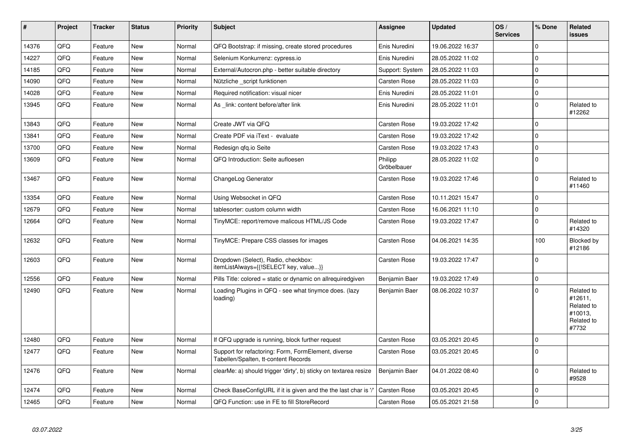| $\pmb{\sharp}$ | Project | <b>Tracker</b> | <b>Status</b> | <b>Priority</b> | <b>Subject</b>                                                                              | <b>Assignee</b>        | <b>Updated</b>   | OS/<br><b>Services</b> | % Done       | Related<br><b>issues</b>                                              |
|----------------|---------|----------------|---------------|-----------------|---------------------------------------------------------------------------------------------|------------------------|------------------|------------------------|--------------|-----------------------------------------------------------------------|
| 14376          | QFQ     | Feature        | New           | Normal          | QFQ Bootstrap: if missing, create stored procedures                                         | Enis Nuredini          | 19.06.2022 16:37 |                        | 0            |                                                                       |
| 14227          | QFQ     | Feature        | New           | Normal          | Selenium Konkurrenz: cypress.io                                                             | Enis Nuredini          | 28.05.2022 11:02 |                        | 0            |                                                                       |
| 14185          | QFQ     | Feature        | New           | Normal          | External/Autocron.php - better suitable directory                                           | Support: System        | 28.05.2022 11:03 |                        | 0            |                                                                       |
| 14090          | QFQ     | Feature        | <b>New</b>    | Normal          | Nützliche _script funktionen                                                                | <b>Carsten Rose</b>    | 28.05.2022 11:03 |                        | $\mathbf 0$  |                                                                       |
| 14028          | QFQ     | Feature        | New           | Normal          | Required notification: visual nicer                                                         | Enis Nuredini          | 28.05.2022 11:01 |                        | $\pmb{0}$    |                                                                       |
| 13945          | QFQ     | Feature        | New           | Normal          | As _link: content before/after link                                                         | Enis Nuredini          | 28.05.2022 11:01 |                        | $\mathbf 0$  | Related to<br>#12262                                                  |
| 13843          | QFQ     | Feature        | <b>New</b>    | Normal          | Create JWT via QFQ                                                                          | Carsten Rose           | 19.03.2022 17:42 |                        | 0            |                                                                       |
| 13841          | QFQ     | Feature        | New           | Normal          | Create PDF via iText - evaluate                                                             | Carsten Rose           | 19.03.2022 17:42 |                        | $\mathbf{0}$ |                                                                       |
| 13700          | QFQ     | Feature        | <b>New</b>    | Normal          | Redesign qfq.io Seite                                                                       | Carsten Rose           | 19.03.2022 17:43 |                        | 0            |                                                                       |
| 13609          | QFQ     | Feature        | <b>New</b>    | Normal          | QFQ Introduction: Seite aufloesen                                                           | Philipp<br>Gröbelbauer | 28.05.2022 11:02 |                        | $\mathbf 0$  |                                                                       |
| 13467          | QFQ     | Feature        | New           | Normal          | ChangeLog Generator                                                                         | Carsten Rose           | 19.03.2022 17:46 |                        | $\pmb{0}$    | Related to<br>#11460                                                  |
| 13354          | QFQ     | Feature        | New           | Normal          | Using Websocket in QFQ                                                                      | Carsten Rose           | 10.11.2021 15:47 |                        | $\mathbf 0$  |                                                                       |
| 12679          | QFQ     | Feature        | <b>New</b>    | Normal          | tablesorter: custom column width                                                            | Carsten Rose           | 16.06.2021 11:10 |                        | $\mathbf 0$  |                                                                       |
| 12664          | QFQ     | Feature        | <b>New</b>    | Normal          | TinyMCE: report/remove malicous HTML/JS Code                                                | Carsten Rose           | 19.03.2022 17:47 |                        | $\mathbf{0}$ | Related to<br>#14320                                                  |
| 12632          | QFQ     | Feature        | New           | Normal          | TinyMCE: Prepare CSS classes for images                                                     | Carsten Rose           | 04.06.2021 14:35 |                        | 100          | Blocked by<br>#12186                                                  |
| 12603          | QFQ     | Feature        | New           | Normal          | Dropdown (Select), Radio, checkbox:<br>itemListAlways={{!SELECT key, value}}                | Carsten Rose           | 19.03.2022 17:47 |                        | $\Omega$     |                                                                       |
| 12556          | QFQ     | Feature        | New           | Normal          | Pills Title: colored = static or dynamic on allrequiredgiven                                | Benjamin Baer          | 19.03.2022 17:49 |                        | 0            |                                                                       |
| 12490          | QFQ     | Feature        | <b>New</b>    | Normal          | Loading Plugins in QFQ - see what tinymce does. (lazy<br>loading)                           | Benjamin Baer          | 08.06.2022 10:37 |                        | $\mathbf 0$  | Related to<br>#12611,<br>Related to<br>#10013,<br>Related to<br>#7732 |
| 12480          | QFQ     | Feature        | New           | Normal          | If QFQ upgrade is running, block further request                                            | <b>Carsten Rose</b>    | 03.05.2021 20:45 |                        | $\mathbf 0$  |                                                                       |
| 12477          | QFQ     | Feature        | <b>New</b>    | Normal          | Support for refactoring: Form, FormElement, diverse<br>Tabellen/Spalten, tt-content Records | Carsten Rose           | 03.05.2021 20:45 |                        | $\Omega$     |                                                                       |
| 12476          | QFQ     | Feature        | <b>New</b>    | Normal          | clearMe: a) should trigger 'dirty', b) sticky on textarea resize                            | Benjamin Baer          | 04.01.2022 08:40 |                        | $\Omega$     | Related to<br>#9528                                                   |
| 12474          | QFQ     | Feature        | New           | Normal          | Check BaseConfigURL if it is given and the the last char is '/'                             | Carsten Rose           | 03.05.2021 20:45 |                        | 0            |                                                                       |
| 12465          | QFQ     | Feature        | New           | Normal          | QFQ Function: use in FE to fill StoreRecord                                                 | Carsten Rose           | 05.05.2021 21:58 |                        | $\pmb{0}$    |                                                                       |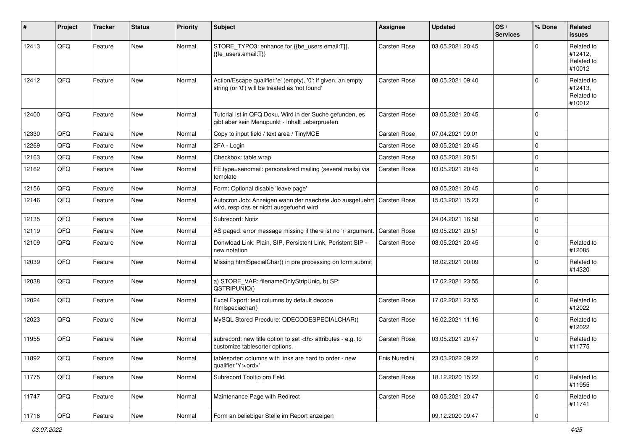| #     | Project | <b>Tracker</b> | <b>Status</b> | <b>Priority</b> | Subject                                                                                                             | <b>Assignee</b>                                        | <b>Updated</b>   | OS/<br><b>Services</b> | % Done      | Related<br><b>issues</b>                      |                      |
|-------|---------|----------------|---------------|-----------------|---------------------------------------------------------------------------------------------------------------------|--------------------------------------------------------|------------------|------------------------|-------------|-----------------------------------------------|----------------------|
| 12413 | QFQ     | Feature        | New           | Normal          | STORE_TYPO3: enhance for {{be_users.email:T}},<br>{{fe users.email:T}}                                              | <b>Carsten Rose</b>                                    | 03.05.2021 20:45 |                        | $\Omega$    | Related to<br>#12412,<br>Related to<br>#10012 |                      |
| 12412 | QFQ     | Feature        | New           | Normal          | Action/Escape qualifier 'e' (empty), '0': if given, an empty<br>string (or '0') will be treated as 'not found'      | <b>Carsten Rose</b>                                    | 08.05.2021 09:40 |                        | $\Omega$    | Related to<br>#12413,<br>Related to<br>#10012 |                      |
| 12400 | QFQ     | Feature        | New           | Normal          | Tutorial ist in QFQ Doku, Wird in der Suche gefunden, es<br>gibt aber kein Menupunkt - Inhalt ueberpruefen          | Carsten Rose                                           | 03.05.2021 20:45 |                        | $\Omega$    |                                               |                      |
| 12330 | QFQ     | Feature        | New           | Normal          | Copy to input field / text area / TinyMCE                                                                           | <b>Carsten Rose</b>                                    | 07.04.2021 09:01 |                        | $\mathbf 0$ |                                               |                      |
| 12269 | QFQ     | Feature        | New           | Normal          | 2FA - Login                                                                                                         | <b>Carsten Rose</b>                                    | 03.05.2021 20:45 |                        | $\mathbf 0$ |                                               |                      |
| 12163 | QFQ     | Feature        | New           | Normal          | Checkbox: table wrap                                                                                                | <b>Carsten Rose</b>                                    | 03.05.2021 20:51 |                        | $\mathbf 0$ |                                               |                      |
| 12162 | QFQ     | Feature        | New           | Normal          | FE.type=sendmail: personalized mailing (several mails) via<br>template                                              | <b>Carsten Rose</b>                                    | 03.05.2021 20:45 |                        | $\mathbf 0$ |                                               |                      |
| 12156 | QFQ     | Feature        | New           | Normal          | Form: Optional disable 'leave page'                                                                                 |                                                        | 03.05.2021 20:45 |                        | $\mathbf 0$ |                                               |                      |
| 12146 | QFQ     | Feature        | New           | Normal          | Autocron Job: Anzeigen wann der naechste Job ausgefuehrt   Carsten Rose<br>wird, resp das er nicht ausgefuehrt wird |                                                        | 15.03.2021 15:23 |                        | $\mathbf 0$ |                                               |                      |
| 12135 | QFQ     | Feature        | <b>New</b>    | Normal          | Subrecord: Notiz                                                                                                    |                                                        | 24.04.2021 16:58 |                        | 0           |                                               |                      |
| 12119 | QFQ     | Feature        | <b>New</b>    | Normal          | AS paged: error message missing if there ist no 'r' argument.                                                       | <b>Carsten Rose</b>                                    | 03.05.2021 20:51 |                        | $\mathbf 0$ |                                               |                      |
| 12109 | QFQ     | Feature        | New           | Normal          | Donwload Link: Plain, SIP, Persistent Link, Peristent SIP -<br>new notation                                         | <b>Carsten Rose</b>                                    | 03.05.2021 20:45 |                        | $\mathbf 0$ | Related to<br>#12085                          |                      |
| 12039 | QFQ     | Feature        | New           | Normal          | Missing htmlSpecialChar() in pre processing on form submit                                                          |                                                        | 18.02.2021 00:09 |                        | $\mathbf 0$ | Related to<br>#14320                          |                      |
| 12038 | QFQ     | Feature        | New           | Normal          | a) STORE_VAR: filenameOnlyStripUniq, b) SP:<br>QSTRIPUNIQ()                                                         |                                                        | 17.02.2021 23:55 |                        | $\mathbf 0$ |                                               |                      |
| 12024 | QFQ     | Feature        | New           | Normal          | Excel Export: text columns by default decode<br>htmlspeciachar()                                                    | Carsten Rose                                           | 17.02.2021 23:55 |                        | $\mathbf 0$ | Related to<br>#12022                          |                      |
| 12023 | QFQ     | Feature        | New           | Normal          | MySQL Stored Precdure: QDECODESPECIALCHAR()                                                                         | <b>Carsten Rose</b>                                    | 16.02.2021 11:16 |                        | $\mathbf 0$ | Related to<br>#12022                          |                      |
| 11955 | QFQ     | Feature        | New           | Normal          | subrecord: new title option to set <th> attributes - e.g. to<br/>customize tablesorter options.</th>                | attributes - e.g. to<br>customize tablesorter options. | Carsten Rose     | 03.05.2021 20:47       |             | $\mathbf 0$                                   | Related to<br>#11775 |
| 11892 | QFG     | Feature        | New           | Normal          | tablesorter: columns with links are hard to order - new<br>qualifier 'Y: <ord>'</ord>                               | Enis Nuredini                                          | 23.03.2022 09:22 |                        | U           |                                               |                      |
| 11775 | QFQ     | Feature        | New           | Normal          | Subrecord Tooltip pro Feld                                                                                          | Carsten Rose                                           | 18.12.2020 15:22 |                        | $\mathsf 0$ | Related to<br>#11955                          |                      |
| 11747 | QFQ     | Feature        | New           | Normal          | Maintenance Page with Redirect                                                                                      | Carsten Rose                                           | 03.05.2021 20:47 |                        | $\mathsf 0$ | Related to<br>#11741                          |                      |
| 11716 | QFQ     | Feature        | New           | Normal          | Form an beliebiger Stelle im Report anzeigen                                                                        |                                                        | 09.12.2020 09:47 |                        | $\pmb{0}$   |                                               |                      |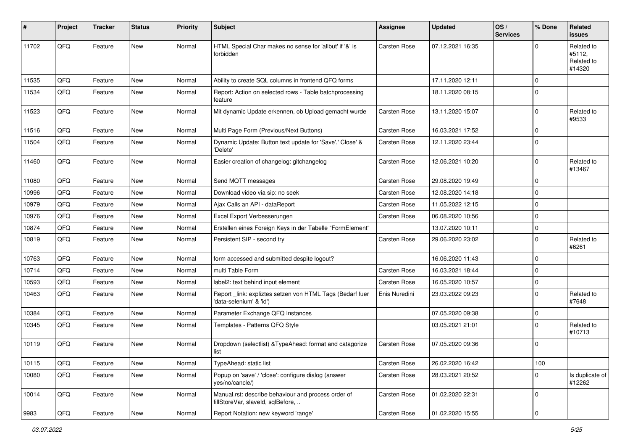| #     | Project | <b>Tracker</b> | <b>Status</b> | <b>Priority</b> | <b>Subject</b>                                                                           | <b>Assignee</b>     | <b>Updated</b>   | OS/<br><b>Services</b> | % Done      | Related<br><b>issues</b>                     |
|-------|---------|----------------|---------------|-----------------|------------------------------------------------------------------------------------------|---------------------|------------------|------------------------|-------------|----------------------------------------------|
| 11702 | QFQ     | Feature        | New           | Normal          | HTML Special Char makes no sense for 'allbut' if '&' is<br>forbidden                     | Carsten Rose        | 07.12.2021 16:35 |                        | $\Omega$    | Related to<br>#5112,<br>Related to<br>#14320 |
| 11535 | QFQ     | Feature        | <b>New</b>    | Normal          | Ability to create SQL columns in frontend QFQ forms                                      |                     | 17.11.2020 12:11 |                        | 0           |                                              |
| 11534 | QFQ     | Feature        | New           | Normal          | Report: Action on selected rows - Table batchprocessing<br>feature                       |                     | 18.11.2020 08:15 |                        | $\Omega$    |                                              |
| 11523 | QFQ     | Feature        | <b>New</b>    | Normal          | Mit dynamic Update erkennen, ob Upload gemacht wurde                                     | Carsten Rose        | 13.11.2020 15:07 |                        | $\mathbf 0$ | Related to<br>#9533                          |
| 11516 | QFQ     | Feature        | New           | Normal          | Multi Page Form (Previous/Next Buttons)                                                  | <b>Carsten Rose</b> | 16.03.2021 17:52 |                        | 0           |                                              |
| 11504 | QFQ     | Feature        | New           | Normal          | Dynamic Update: Button text update for 'Save',' Close' &<br>'Delete'                     | Carsten Rose        | 12.11.2020 23:44 |                        | $\Omega$    |                                              |
| 11460 | QFQ     | Feature        | New           | Normal          | Easier creation of changelog: gitchangelog                                               | Carsten Rose        | 12.06.2021 10:20 |                        | $\mathbf 0$ | Related to<br>#13467                         |
| 11080 | QFQ     | Feature        | <b>New</b>    | Normal          | Send MQTT messages                                                                       | <b>Carsten Rose</b> | 29.08.2020 19:49 |                        | $\mathbf 0$ |                                              |
| 10996 | QFQ     | Feature        | <b>New</b>    | Normal          | Download video via sip: no seek                                                          | <b>Carsten Rose</b> | 12.08.2020 14:18 |                        | 0           |                                              |
| 10979 | QFQ     | Feature        | <b>New</b>    | Normal          | Ajax Calls an API - dataReport                                                           | Carsten Rose        | 11.05.2022 12:15 |                        | 0           |                                              |
| 10976 | QFQ     | Feature        | New           | Normal          | Excel Export Verbesserungen                                                              | Carsten Rose        | 06.08.2020 10:56 |                        | 0           |                                              |
| 10874 | QFQ     | Feature        | New           | Normal          | Erstellen eines Foreign Keys in der Tabelle "FormElement"                                |                     | 13.07.2020 10:11 |                        | 0           |                                              |
| 10819 | QFQ     | Feature        | <b>New</b>    | Normal          | Persistent SIP - second try                                                              | Carsten Rose        | 29.06.2020 23:02 |                        | $\Omega$    | Related to<br>#6261                          |
| 10763 | QFQ     | Feature        | <b>New</b>    | Normal          | form accessed and submitted despite logout?                                              |                     | 16.06.2020 11:43 |                        | $\Omega$    |                                              |
| 10714 | QFQ     | Feature        | <b>New</b>    | Normal          | multi Table Form                                                                         | <b>Carsten Rose</b> | 16.03.2021 18:44 |                        | $\mathbf 0$ |                                              |
| 10593 | QFQ     | Feature        | New           | Normal          | label2: text behind input element                                                        | Carsten Rose        | 16.05.2020 10:57 |                        | $\mathbf 0$ |                                              |
| 10463 | QFQ     | Feature        | New           | Normal          | Report_link: expliztes setzen von HTML Tags (Bedarf fuer<br>'data-selenium' & 'id')      | Enis Nuredini       | 23.03.2022 09:23 |                        | $\Omega$    | Related to<br>#7648                          |
| 10384 | QFQ     | Feature        | <b>New</b>    | Normal          | Parameter Exchange QFQ Instances                                                         |                     | 07.05.2020 09:38 |                        | 0           |                                              |
| 10345 | QFQ     | Feature        | <b>New</b>    | Normal          | Templates - Patterns QFQ Style                                                           |                     | 03.05.2021 21:01 |                        | $\mathbf 0$ | Related to<br>#10713                         |
| 10119 | QFQ     | Feature        | New           | Normal          | Dropdown (selectlist) & Type Ahead: format and catagorize<br>list                        | <b>Carsten Rose</b> | 07.05.2020 09:36 |                        | $\mathbf 0$ |                                              |
| 10115 | QFQ     | Feature        | New           | Normal          | TypeAhead: static list                                                                   | Carsten Rose        | 26.02.2020 16:42 |                        | 100         |                                              |
| 10080 | QFQ     | Feature        | New           | Normal          | Popup on 'save' / 'close': configure dialog (answer<br>yes/no/cancle/)                   | Carsten Rose        | 28.03.2021 20:52 |                        | $\mathbf 0$ | Is duplicate of<br>#12262                    |
| 10014 | QFQ     | Feature        | New           | Normal          | Manual.rst: describe behaviour and process order of<br>fillStoreVar, slaveId, sqlBefore, | Carsten Rose        | 01.02.2020 22:31 |                        | $\mathbf 0$ |                                              |
| 9983  | QFQ     | Feature        | New           | Normal          | Report Notation: new keyword 'range'                                                     | Carsten Rose        | 01.02.2020 15:55 |                        | $\pmb{0}$   |                                              |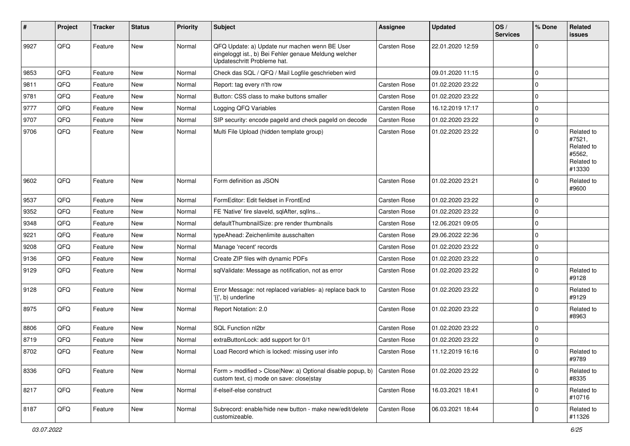| #    | Project | <b>Tracker</b> | <b>Status</b> | <b>Priority</b> | <b>Subject</b>                                                                                                                        | <b>Assignee</b>     | <b>Updated</b>   | OS/<br><b>Services</b> | % Done | Related<br><b>issues</b>                                             |
|------|---------|----------------|---------------|-----------------|---------------------------------------------------------------------------------------------------------------------------------------|---------------------|------------------|------------------------|--------|----------------------------------------------------------------------|
| 9927 | QFQ     | Feature        | <b>New</b>    | Normal          | QFQ Update: a) Update nur machen wenn BE User<br>eingeloggt ist., b) Bei Fehler genaue Meldung welcher<br>Updateschritt Probleme hat. | Carsten Rose        | 22.01.2020 12:59 |                        | 0      |                                                                      |
| 9853 | QFQ     | Feature        | <b>New</b>    | Normal          | Check das SQL / QFQ / Mail Logfile geschrieben wird                                                                                   |                     | 09.01.2020 11:15 |                        | 0      |                                                                      |
| 9811 | QFQ     | Feature        | <b>New</b>    | Normal          | Report: tag every n'th row                                                                                                            | Carsten Rose        | 01.02.2020 23:22 |                        | 0      |                                                                      |
| 9781 | QFQ     | Feature        | New           | Normal          | Button: CSS class to make buttons smaller                                                                                             | Carsten Rose        | 01.02.2020 23:22 |                        | 0      |                                                                      |
| 9777 | QFQ     | Feature        | <b>New</b>    | Normal          | Logging QFQ Variables                                                                                                                 | Carsten Rose        | 16.12.2019 17:17 |                        | 0      |                                                                      |
| 9707 | QFQ     | Feature        | <b>New</b>    | Normal          | SIP security: encode pageld and check pageld on decode                                                                                | Carsten Rose        | 01.02.2020 23:22 |                        | 0      |                                                                      |
| 9706 | QFQ     | Feature        | New           | Normal          | Multi File Upload (hidden template group)                                                                                             | Carsten Rose        | 01.02.2020 23:22 |                        | 0      | Related to<br>#7521,<br>Related to<br>#5562.<br>Related to<br>#13330 |
| 9602 | QFQ     | Feature        | <b>New</b>    | Normal          | Form definition as JSON                                                                                                               | <b>Carsten Rose</b> | 01.02.2020 23:21 |                        | 0      | Related to<br>#9600                                                  |
| 9537 | QFQ     | Feature        | New           | Normal          | FormEditor: Edit fieldset in FrontEnd                                                                                                 | Carsten Rose        | 01.02.2020 23:22 |                        | 0      |                                                                      |
| 9352 | QFQ     | Feature        | <b>New</b>    | Normal          | FE 'Native' fire slaveld, sqlAfter, sqlIns                                                                                            | Carsten Rose        | 01.02.2020 23:22 |                        | 0      |                                                                      |
| 9348 | QFQ     | Feature        | New           | Normal          | defaultThumbnailSize: pre render thumbnails                                                                                           | Carsten Rose        | 12.06.2021 09:05 |                        | 0      |                                                                      |
| 9221 | QFQ     | Feature        | <b>New</b>    | Normal          | typeAhead: Zeichenlimite ausschalten                                                                                                  | Carsten Rose        | 29.06.2022 22:36 |                        | 0      |                                                                      |
| 9208 | QFQ     | Feature        | New           | Normal          | Manage 'recent' records                                                                                                               | Carsten Rose        | 01.02.2020 23:22 |                        | 0      |                                                                      |
| 9136 | QFQ     | Feature        | New           | Normal          | Create ZIP files with dynamic PDFs                                                                                                    | Carsten Rose        | 01.02.2020 23:22 |                        | 0      |                                                                      |
| 9129 | QFQ     | Feature        | <b>New</b>    | Normal          | sqlValidate: Message as notification, not as error                                                                                    | Carsten Rose        | 01.02.2020 23:22 |                        | 0      | Related to<br>#9128                                                  |
| 9128 | QFQ     | Feature        | New           | Normal          | Error Message: not replaced variables- a) replace back to<br>'{{', b) underline                                                       | Carsten Rose        | 01.02.2020 23:22 |                        | 0      | Related to<br>#9129                                                  |
| 8975 | QFQ     | Feature        | <b>New</b>    | Normal          | Report Notation: 2.0                                                                                                                  | Carsten Rose        | 01.02.2020 23:22 |                        | 0      | Related to<br>#8963                                                  |
| 8806 | QFQ     | Feature        | <b>New</b>    | Normal          | SQL Function nl2br                                                                                                                    | Carsten Rose        | 01.02.2020 23:22 |                        | 0      |                                                                      |
| 8719 | QFQ     | Feature        | New           | Normal          | extraButtonLock: add support for 0/1                                                                                                  | Carsten Rose        | 01.02.2020 23:22 |                        | 0      |                                                                      |
| 8702 | QFQ     | Feature        | New           | Normal          | Load Record which is locked: missing user info                                                                                        | Carsten Rose        | 11.12.2019 16:16 |                        | 0      | Related to<br>#9789                                                  |
| 8336 | QFQ     | Feature        | New           | Normal          | Form > modified > Close New: a) Optional disable popup, b)<br>custom text, c) mode on save: closelstay                                | <b>Carsten Rose</b> | 01.02.2020 23:22 |                        | 0      | Related to<br>#8335                                                  |
| 8217 | QFQ     | Feature        | New           | Normal          | if-elseif-else construct                                                                                                              | Carsten Rose        | 16.03.2021 18:41 |                        | 0      | Related to<br>#10716                                                 |
| 8187 | QFQ     | Feature        | New           | Normal          | Subrecord: enable/hide new button - make new/edit/delete<br>customizeable.                                                            | Carsten Rose        | 06.03.2021 18:44 |                        | 0      | Related to<br>#11326                                                 |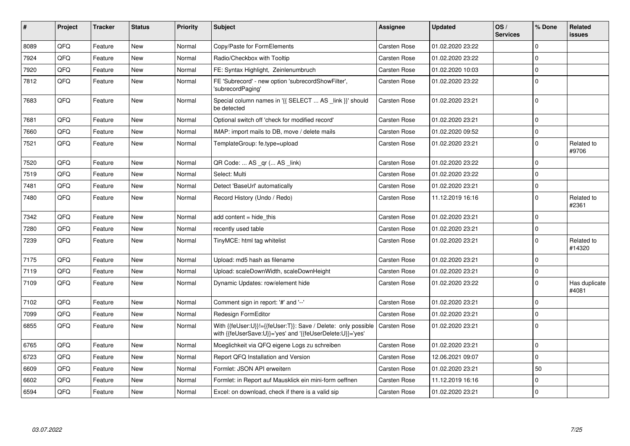| #    | <b>Project</b> | <b>Tracker</b> | <b>Status</b> | <b>Priority</b> | <b>Subject</b>                                                                                                             | <b>Assignee</b> | <b>Updated</b>   | OS/<br><b>Services</b> | % Done      | Related<br>issues      |
|------|----------------|----------------|---------------|-----------------|----------------------------------------------------------------------------------------------------------------------------|-----------------|------------------|------------------------|-------------|------------------------|
| 8089 | QFQ            | Feature        | New           | Normal          | Copy/Paste for FormElements                                                                                                | Carsten Rose    | 01.02.2020 23:22 |                        | $\Omega$    |                        |
| 7924 | QFQ            | Feature        | <b>New</b>    | Normal          | Radio/Checkbox with Tooltip                                                                                                | Carsten Rose    | 01.02.2020 23:22 |                        | $\Omega$    |                        |
| 7920 | QFQ            | Feature        | New           | Normal          | FE: Syntax Highlight, Zeinlenumbruch                                                                                       | Carsten Rose    | 01.02.2020 10:03 |                        | $\mathbf 0$ |                        |
| 7812 | QFQ            | Feature        | New           | Normal          | FE 'Subrecord' - new option 'subrecordShowFilter',<br>'subrecordPaging'                                                    | Carsten Rose    | 01.02.2020 23:22 |                        | $\Omega$    |                        |
| 7683 | QFQ            | Feature        | <b>New</b>    | Normal          | Special column names in '{{ SELECT  AS _link }}' should<br>be detected                                                     | Carsten Rose    | 01.02.2020 23:21 |                        | $\mathbf 0$ |                        |
| 7681 | QFQ            | Feature        | New           | Normal          | Optional switch off 'check for modified record'                                                                            | Carsten Rose    | 01.02.2020 23:21 |                        | $\mathbf 0$ |                        |
| 7660 | QFQ            | Feature        | New           | Normal          | IMAP: import mails to DB, move / delete mails                                                                              | Carsten Rose    | 01.02.2020 09:52 |                        | $\mathbf 0$ |                        |
| 7521 | QFQ            | Feature        | New           | Normal          | TemplateGroup: fe.type=upload                                                                                              | Carsten Rose    | 01.02.2020 23:21 |                        | $\mathbf 0$ | Related to<br>#9706    |
| 7520 | QFQ            | Feature        | <b>New</b>    | Normal          | QR Code:  AS _qr ( AS _link)                                                                                               | Carsten Rose    | 01.02.2020 23:22 |                        | $\Omega$    |                        |
| 7519 | QFQ            | Feature        | New           | Normal          | Select: Multi                                                                                                              | Carsten Rose    | 01.02.2020 23:22 |                        | $\mathbf 0$ |                        |
| 7481 | QFQ            | Feature        | New           | Normal          | Detect 'BaseUrl' automatically                                                                                             | Carsten Rose    | 01.02.2020 23:21 |                        | $\mathbf 0$ |                        |
| 7480 | QFQ            | Feature        | New           | Normal          | Record History (Undo / Redo)                                                                                               | Carsten Rose    | 11.12.2019 16:16 |                        | $\mathbf 0$ | Related to<br>#2361    |
| 7342 | QFQ            | Feature        | <b>New</b>    | Normal          | add content = hide this                                                                                                    | Carsten Rose    | 01.02.2020 23:21 |                        | $\mathbf 0$ |                        |
| 7280 | QFQ            | Feature        | New           | Normal          | recently used table                                                                                                        | Carsten Rose    | 01.02.2020 23:21 |                        | $\Omega$    |                        |
| 7239 | QFQ            | Feature        | New           | Normal          | TinyMCE: html tag whitelist                                                                                                | Carsten Rose    | 01.02.2020 23:21 |                        | $\mathbf 0$ | Related to<br>#14320   |
| 7175 | QFQ            | Feature        | <b>New</b>    | Normal          | Upload: md5 hash as filename                                                                                               | Carsten Rose    | 01.02.2020 23:21 |                        | $\mathbf 0$ |                        |
| 7119 | QFQ            | Feature        | <b>New</b>    | Normal          | Upload: scaleDownWidth, scaleDownHeight                                                                                    | Carsten Rose    | 01.02.2020 23:21 |                        | $\Omega$    |                        |
| 7109 | QFQ            | Feature        | New           | Normal          | Dynamic Updates: row/element hide                                                                                          | Carsten Rose    | 01.02.2020 23:22 |                        | $\mathbf 0$ | Has duplicate<br>#4081 |
| 7102 | QFQ            | Feature        | <b>New</b>    | Normal          | Comment sign in report: '#' and '--'                                                                                       | Carsten Rose    | 01.02.2020 23:21 |                        | $\Omega$    |                        |
| 7099 | QFQ            | Feature        | New           | Normal          | Redesign FormEditor                                                                                                        | Carsten Rose    | 01.02.2020 23:21 |                        | $\mathbf 0$ |                        |
| 6855 | QFQ            | Feature        | New           | Normal          | With {{feUser:U}}!={{feUser:T}}: Save / Delete: only possible<br>with {{feUserSave:U}}='yes' and '{{feUserDelete:U}}='yes' | Carsten Rose    | 01.02.2020 23:21 |                        | $\mathbf 0$ |                        |
| 6765 | QFQ            | Feature        | <b>New</b>    | Normal          | Moeglichkeit via QFQ eigene Logs zu schreiben                                                                              | Carsten Rose    | 01.02.2020 23:21 |                        | $\Omega$    |                        |
| 6723 | QFQ            | Feature        | New           | Normal          | Report QFQ Installation and Version                                                                                        | Carsten Rose    | 12.06.2021 09:07 |                        | $\mathbf 0$ |                        |
| 6609 | QFQ            | Feature        | New           | Normal          | Formlet: JSON API erweitern                                                                                                | Carsten Rose    | 01.02.2020 23:21 |                        | 50          |                        |
| 6602 | QFQ            | Feature        | New           | Normal          | Formlet: in Report auf Mausklick ein mini-form oeffnen                                                                     | Carsten Rose    | 11.12.2019 16:16 |                        | $\Omega$    |                        |
| 6594 | QFQ            | Feature        | New           | Normal          | Excel: on download, check if there is a valid sip                                                                          | Carsten Rose    | 01.02.2020 23:21 |                        | 0           |                        |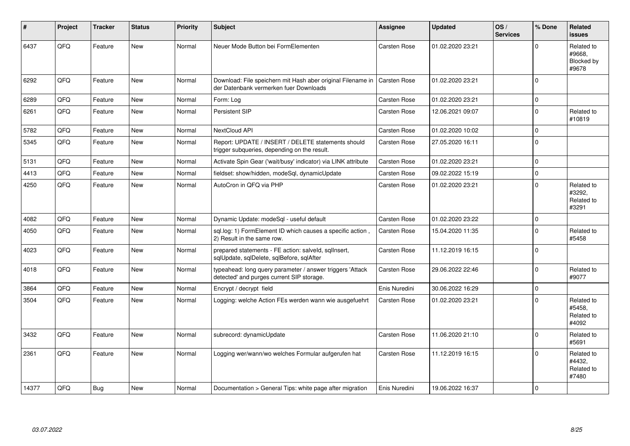| ∦     | Project | <b>Tracker</b> | <b>Status</b> | <b>Priority</b> | <b>Subject</b>                                                                                         | <b>Assignee</b>     | <b>Updated</b>   | OS/<br><b>Services</b> | % Done      | Related<br><b>issues</b>                    |
|-------|---------|----------------|---------------|-----------------|--------------------------------------------------------------------------------------------------------|---------------------|------------------|------------------------|-------------|---------------------------------------------|
| 6437  | QFQ     | Feature        | <b>New</b>    | Normal          | Neuer Mode Button bei FormElementen                                                                    | Carsten Rose        | 01.02.2020 23:21 |                        | $\Omega$    | Related to<br>#9668.<br>Blocked by<br>#9678 |
| 6292  | QFQ     | Feature        | <b>New</b>    | Normal          | Download: File speichern mit Hash aber original Filename in<br>der Datenbank vermerken fuer Downloads  | <b>Carsten Rose</b> | 01.02.2020 23:21 |                        | $\Omega$    |                                             |
| 6289  | QFQ     | Feature        | <b>New</b>    | Normal          | Form: Log                                                                                              | <b>Carsten Rose</b> | 01.02.2020 23:21 |                        | $\mathbf 0$ |                                             |
| 6261  | QFQ     | Feature        | <b>New</b>    | Normal          | Persistent SIP                                                                                         | <b>Carsten Rose</b> | 12.06.2021 09:07 |                        | $\mathbf 0$ | Related to<br>#10819                        |
| 5782  | QFQ     | Feature        | <b>New</b>    | Normal          | NextCloud API                                                                                          | <b>Carsten Rose</b> | 01.02.2020 10:02 |                        | 0           |                                             |
| 5345  | QFQ     | Feature        | New           | Normal          | Report: UPDATE / INSERT / DELETE statements should<br>trigger subqueries, depending on the result.     | <b>Carsten Rose</b> | 27.05.2020 16:11 |                        | $\Omega$    |                                             |
| 5131  | QFQ     | Feature        | <b>New</b>    | Normal          | Activate Spin Gear ('wait/busy' indicator) via LINK attribute                                          | <b>Carsten Rose</b> | 01.02.2020 23:21 |                        | $\Omega$    |                                             |
| 4413  | QFQ     | Feature        | <b>New</b>    | Normal          | fieldset: show/hidden, modeSql, dynamicUpdate                                                          | <b>Carsten Rose</b> | 09.02.2022 15:19 |                        | $\mathbf 0$ |                                             |
| 4250  | QFQ     | Feature        | <b>New</b>    | Normal          | AutoCron in QFQ via PHP                                                                                | <b>Carsten Rose</b> | 01.02.2020 23:21 |                        | 0           | Related to<br>#3292,<br>Related to<br>#3291 |
| 4082  | QFQ     | Feature        | <b>New</b>    | Normal          | Dynamic Update: modeSql - useful default                                                               | <b>Carsten Rose</b> | 01.02.2020 23:22 |                        | $\mathbf 0$ |                                             |
| 4050  | QFQ     | Feature        | <b>New</b>    | Normal          | sql.log: 1) FormElement ID which causes a specific action,<br>2) Result in the same row.               | Carsten Rose        | 15.04.2020 11:35 |                        | $\Omega$    | Related to<br>#5458                         |
| 4023  | QFQ     | Feature        | <b>New</b>    | Normal          | prepared statements - FE action: salveld, sqllnsert,<br>sqlUpdate, sqlDelete, sqlBefore, sqlAfter      | Carsten Rose        | 11.12.2019 16:15 |                        | $\Omega$    |                                             |
| 4018  | QFQ     | Feature        | <b>New</b>    | Normal          | typeahead: long query parameter / answer triggers 'Attack<br>detected' and purges current SIP storage. | Carsten Rose        | 29.06.2022 22:46 |                        | $\Omega$    | Related to<br>#9077                         |
| 3864  | QFQ     | Feature        | <b>New</b>    | Normal          | Encrypt / decrypt field                                                                                | Enis Nuredini       | 30.06.2022 16:29 |                        | $\mathbf 0$ |                                             |
| 3504  | QFQ     | Feature        | <b>New</b>    | Normal          | Logging: welche Action FEs werden wann wie ausgefuehrt                                                 | Carsten Rose        | 01.02.2020 23:21 |                        | $\Omega$    | Related to<br>#5458.<br>Related to<br>#4092 |
| 3432  | QFQ     | Feature        | <b>New</b>    | Normal          | subrecord: dynamicUpdate                                                                               | Carsten Rose        | 11.06.2020 21:10 |                        | $\Omega$    | Related to<br>#5691                         |
| 2361  | QFQ     | Feature        | <b>New</b>    | Normal          | Logging wer/wann/wo welches Formular aufgerufen hat                                                    | <b>Carsten Rose</b> | 11.12.2019 16:15 |                        | $\Omega$    | Related to<br>#4432.<br>Related to<br>#7480 |
| 14377 | QFQ     | Bug            | <b>New</b>    | Normal          | Documentation > General Tips: white page after migration                                               | Enis Nuredini       | 19.06.2022 16:37 |                        | $\mathbf 0$ |                                             |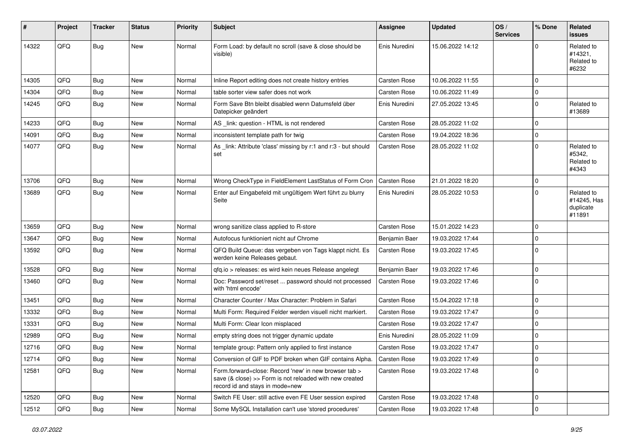| #     | Project | <b>Tracker</b> | <b>Status</b> | <b>Priority</b> | <b>Subject</b>                                                                                                                                      | <b>Assignee</b>     | <b>Updated</b>   | OS/<br><b>Services</b> | % Done      | <b>Related</b><br><b>issues</b>                  |
|-------|---------|----------------|---------------|-----------------|-----------------------------------------------------------------------------------------------------------------------------------------------------|---------------------|------------------|------------------------|-------------|--------------------------------------------------|
| 14322 | QFQ     | <b>Bug</b>     | <b>New</b>    | Normal          | Form Load: by default no scroll (save & close should be<br>visible)                                                                                 | Enis Nuredini       | 15.06.2022 14:12 |                        | $\Omega$    | Related to<br>#14321,<br>Related to<br>#6232     |
| 14305 | QFQ     | <b>Bug</b>     | <b>New</b>    | Normal          | Inline Report editing does not create history entries                                                                                               | <b>Carsten Rose</b> | 10.06.2022 11:55 |                        | 0           |                                                  |
| 14304 | QFQ     | <b>Bug</b>     | <b>New</b>    | Normal          | table sorter view safer does not work                                                                                                               | <b>Carsten Rose</b> | 10.06.2022 11:49 |                        | 0           |                                                  |
| 14245 | QFQ     | Bug            | <b>New</b>    | Normal          | Form Save Btn bleibt disabled wenn Datumsfeld über<br>Datepicker geändert                                                                           | Enis Nuredini       | 27.05.2022 13:45 |                        | $\mathbf 0$ | Related to<br>#13689                             |
| 14233 | QFQ     | <b>Bug</b>     | New           | Normal          | AS _link: question - HTML is not rendered                                                                                                           | <b>Carsten Rose</b> | 28.05.2022 11:02 |                        | $\mathbf 0$ |                                                  |
| 14091 | QFQ     | Bug            | New           | Normal          | inconsistent template path for twig                                                                                                                 | Carsten Rose        | 19.04.2022 18:36 |                        | $\mathbf 0$ |                                                  |
| 14077 | QFQ     | <b>Bug</b>     | New           | Normal          | As _link: Attribute 'class' missing by r:1 and r:3 - but should<br>set                                                                              | <b>Carsten Rose</b> | 28.05.2022 11:02 |                        | $\mathbf 0$ | Related to<br>#5342,<br>Related to<br>#4343      |
| 13706 | QFQ     | Bug            | <b>New</b>    | Normal          | Wrong CheckType in FieldElement LastStatus of Form Cron                                                                                             | <b>Carsten Rose</b> | 21.01.2022 18:20 |                        | $\mathbf 0$ |                                                  |
| 13689 | QFQ     | Bug            | <b>New</b>    | Normal          | Enter auf Eingabefeld mit ungültigem Wert führt zu blurry<br>Seite                                                                                  | Enis Nuredini       | 28.05.2022 10:53 |                        | 0           | Related to<br>#14245, Has<br>duplicate<br>#11891 |
| 13659 | QFQ     | Bug            | <b>New</b>    | Normal          | wrong sanitize class applied to R-store                                                                                                             | <b>Carsten Rose</b> | 15.01.2022 14:23 |                        | $\mathbf 0$ |                                                  |
| 13647 | QFQ     | Bug            | <b>New</b>    | Normal          | Autofocus funktioniert nicht auf Chrome                                                                                                             | Benjamin Baer       | 19.03.2022 17:44 |                        | 0           |                                                  |
| 13592 | QFQ     | <b>Bug</b>     | New           | Normal          | QFQ Build Queue: das vergeben von Tags klappt nicht. Es<br>werden keine Releases gebaut.                                                            | Carsten Rose        | 19.03.2022 17:45 |                        | $\mathbf 0$ |                                                  |
| 13528 | QFQ     | <b>Bug</b>     | <b>New</b>    | Normal          | qfq.io > releases: es wird kein neues Release angelegt                                                                                              | Benjamin Baer       | 19.03.2022 17:46 |                        | $\mathbf 0$ |                                                  |
| 13460 | QFQ     | Bug            | New           | Normal          | Doc: Password set/reset  password should not processed<br>with 'html encode'                                                                        | Carsten Rose        | 19.03.2022 17:46 |                        | $\mathbf 0$ |                                                  |
| 13451 | QFQ     | <b>Bug</b>     | <b>New</b>    | Normal          | Character Counter / Max Character: Problem in Safari                                                                                                | Carsten Rose        | 15.04.2022 17:18 |                        | 0           |                                                  |
| 13332 | QFQ     | <b>Bug</b>     | <b>New</b>    | Normal          | Multi Form: Required Felder werden visuell nicht markiert.                                                                                          | Carsten Rose        | 19.03.2022 17:47 |                        | $\mathbf 0$ |                                                  |
| 13331 | QFQ     | Bug            | New           | Normal          | Multi Form: Clear Icon misplaced                                                                                                                    | <b>Carsten Rose</b> | 19.03.2022 17:47 |                        | 0           |                                                  |
| 12989 | QFQ     | <b>Bug</b>     | <b>New</b>    | Normal          | empty string does not trigger dynamic update                                                                                                        | Enis Nuredini       | 28.05.2022 11:09 |                        | 0           |                                                  |
| 12716 | QFQ     | <b>Bug</b>     | <b>New</b>    | Normal          | template group: Pattern only applied to first instance                                                                                              | <b>Carsten Rose</b> | 19.03.2022 17:47 |                        | 0           |                                                  |
| 12714 | QFQ     | Bug            | New           | Normal          | Conversion of GIF to PDF broken when GIF contains Alpha.                                                                                            | <b>Carsten Rose</b> | 19.03.2022 17:49 |                        | 0           |                                                  |
| 12581 | QFQ     | Bug            | New           | Normal          | Form.forward=close: Record 'new' in new browser tab ><br>save (& close) >> Form is not reloaded with new created<br>record id and stays in mode=new | Carsten Rose        | 19.03.2022 17:48 |                        | $\mathbf 0$ |                                                  |
| 12520 | QFQ     | Bug            | New           | Normal          | Switch FE User: still active even FE User session expired                                                                                           | Carsten Rose        | 19.03.2022 17:48 |                        | $\mathbf 0$ |                                                  |
| 12512 | QFQ     | Bug            | New           | Normal          | Some MySQL Installation can't use 'stored procedures'                                                                                               | Carsten Rose        | 19.03.2022 17:48 |                        | $\mathbf 0$ |                                                  |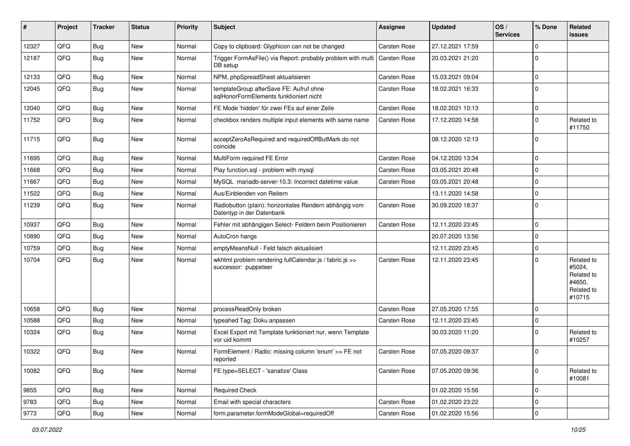| #     | Project | <b>Tracker</b> | <b>Status</b> | <b>Priority</b> | Subject                                                                             | <b>Assignee</b>     | <b>Updated</b>   | OS/<br><b>Services</b> | % Done       | Related<br>issues                                                    |
|-------|---------|----------------|---------------|-----------------|-------------------------------------------------------------------------------------|---------------------|------------------|------------------------|--------------|----------------------------------------------------------------------|
| 12327 | QFQ     | <b>Bug</b>     | New           | Normal          | Copy to clipboard: Glyphicon can not be changed                                     | Carsten Rose        | 27.12.2021 17:59 |                        | $\mathbf 0$  |                                                                      |
| 12187 | QFQ     | <b>Bug</b>     | New           | Normal          | Trigger FormAsFile() via Report: probably problem with multi<br>DB setup            | Carsten Rose        | 20.03.2021 21:20 |                        | $\mathbf 0$  |                                                                      |
| 12133 | QFQ     | <b>Bug</b>     | <b>New</b>    | Normal          | NPM, phpSpreadSheet aktualisieren                                                   | Carsten Rose        | 15.03.2021 09:04 |                        | 0            |                                                                      |
| 12045 | QFQ     | <b>Bug</b>     | New           | Normal          | templateGroup afterSave FE: Aufruf ohne<br>sqlHonorFormElements funktioniert nicht  | Carsten Rose        | 18.02.2021 16:33 |                        | $\mathbf 0$  |                                                                      |
| 12040 | QFQ     | <b>Bug</b>     | New           | Normal          | FE Mode 'hidden' für zwei FEs auf einer Zeile                                       | Carsten Rose        | 18.02.2021 10:13 |                        | $\mathbf 0$  |                                                                      |
| 11752 | QFQ     | <b>Bug</b>     | New           | Normal          | checkbox renders multiple input elements with same name                             | Carsten Rose        | 17.12.2020 14:58 |                        | $\mathbf 0$  | Related to<br>#11750                                                 |
| 11715 | QFQ     | <b>Bug</b>     | New           | Normal          | acceptZeroAsRequired and requiredOffButMark do not<br>coincide                      |                     | 08.12.2020 12:13 |                        | $\mathbf 0$  |                                                                      |
| 11695 | QFQ     | <b>Bug</b>     | <b>New</b>    | Normal          | MultiForm required FE Error                                                         | Carsten Rose        | 04.12.2020 13:34 |                        | $\mathbf 0$  |                                                                      |
| 11668 | QFQ     | Bug            | New           | Normal          | Play function.sql - problem with mysql                                              | Carsten Rose        | 03.05.2021 20:48 |                        | $\mathbf 0$  |                                                                      |
| 11667 | QFQ     | <b>Bug</b>     | <b>New</b>    | Normal          | MySQL mariadb-server-10.3: Incorrect datetime value                                 | Carsten Rose        | 03.05.2021 20:48 |                        | $\mathbf 0$  |                                                                      |
| 11522 | QFQ     | <b>Bug</b>     | New           | Normal          | Aus/Einblenden von Reitern                                                          |                     | 13.11.2020 14:58 |                        | $\mathbf 0$  |                                                                      |
| 11239 | QFQ     | <b>Bug</b>     | New           | Normal          | Radiobutton (plain): horizontales Rendern abhängig vom<br>Datentyp in der Datenbank | Carsten Rose        | 30.09.2020 18:37 |                        | $\mathbf 0$  |                                                                      |
| 10937 | QFQ     | Bug            | New           | Normal          | Fehler mit abhängigen Select- Feldern beim Positionieren                            | Carsten Rose        | 12.11.2020 23:45 |                        | $\mathbf 0$  |                                                                      |
| 10890 | QFQ     | <b>Bug</b>     | New           | Normal          | AutoCron hangs                                                                      |                     | 20.07.2020 13:56 |                        | $\mathbf 0$  |                                                                      |
| 10759 | QFQ     | <b>Bug</b>     | New           | Normal          | emptyMeansNull - Feld falsch aktualisiert                                           |                     | 12.11.2020 23:45 |                        | 0            |                                                                      |
| 10704 | QFQ     | <b>Bug</b>     | New           | Normal          | wkhtml problem rendering fullCalendar.js / fabric.js >><br>successor: puppeteer     | Carsten Rose        | 12.11.2020 23:45 |                        | $\mathbf{0}$ | Related to<br>#5024,<br>Related to<br>#4650.<br>Related to<br>#10715 |
| 10658 | QFQ     | <b>Bug</b>     | New           | Normal          | processReadOnly broken                                                              | Carsten Rose        | 27.05.2020 17:55 |                        | $\mathbf{0}$ |                                                                      |
| 10588 | QFQ     | <b>Bug</b>     | <b>New</b>    | Normal          | typeahed Tag: Doku anpassen                                                         | <b>Carsten Rose</b> | 12.11.2020 23:45 |                        | $\mathbf 0$  |                                                                      |
| 10324 | QFQ     | <b>Bug</b>     | New           | Normal          | Excel Export mit Template funktioniert nur, wenn Template<br>vor uid kommt          |                     | 30.03.2020 11:20 |                        | $\mathbf 0$  | Related to<br>#10257                                                 |
| 10322 | QFQ     | Bug            | <b>New</b>    | Normal          | FormElement / Radio: missing column 'enum' >> FE not<br>reported                    | Carsten Rose        | 07.05.2020 09:37 |                        | 0            |                                                                      |
| 10082 | QFQ     | <b>Bug</b>     | New           | Normal          | FE.type=SELECT - 'sanatize' Class                                                   | Carsten Rose        | 07.05.2020 09:36 |                        | $\mathbf 0$  | Related to<br>#10081                                                 |
| 9855  | QFQ     | <b>Bug</b>     | New           | Normal          | <b>Required Check</b>                                                               |                     | 01.02.2020 15:56 |                        | $\pmb{0}$    |                                                                      |
| 9783  | QFQ     | <b>Bug</b>     | New           | Normal          | Email with special characters                                                       | Carsten Rose        | 01.02.2020 23:22 |                        | $\pmb{0}$    |                                                                      |
| 9773  | QFQ     | <b>Bug</b>     | New           | Normal          | form.parameter.formModeGlobal=requiredOff                                           | Carsten Rose        | 01.02.2020 15:56 |                        | $\mathbf 0$  |                                                                      |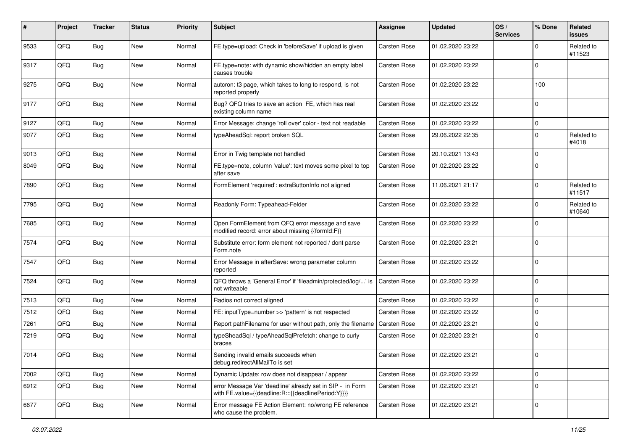| $\sharp$ | Project | <b>Tracker</b> | <b>Status</b> | <b>Priority</b> | <b>Subject</b>                                                                                                   | <b>Assignee</b> | <b>Updated</b>   | OS/<br><b>Services</b> | % Done      | Related<br><b>issues</b> |
|----------|---------|----------------|---------------|-----------------|------------------------------------------------------------------------------------------------------------------|-----------------|------------------|------------------------|-------------|--------------------------|
| 9533     | QFQ     | <b>Bug</b>     | New           | Normal          | FE.type=upload: Check in 'beforeSave' if upload is given                                                         | Carsten Rose    | 01.02.2020 23:22 |                        | $\mathbf 0$ | Related to<br>#11523     |
| 9317     | QFQ     | <b>Bug</b>     | New           | Normal          | FE.type=note: with dynamic show/hidden an empty label<br>causes trouble                                          | Carsten Rose    | 01.02.2020 23:22 |                        | $\mathbf 0$ |                          |
| 9275     | QFQ     | <b>Bug</b>     | New           | Normal          | autcron: t3 page, which takes to long to respond, is not<br>reported properly                                    | Carsten Rose    | 01.02.2020 23:22 |                        | 100         |                          |
| 9177     | QFQ     | <b>Bug</b>     | New           | Normal          | Bug? QFQ tries to save an action FE, which has real<br>existing column name                                      | Carsten Rose    | 01.02.2020 23:22 |                        | 0           |                          |
| 9127     | QFQ     | Bug            | New           | Normal          | Error Message: change 'roll over' color - text not readable                                                      | Carsten Rose    | 01.02.2020 23:22 |                        | $\mathbf 0$ |                          |
| 9077     | QFQ     | <b>Bug</b>     | New           | Normal          | typeAheadSql: report broken SQL                                                                                  | Carsten Rose    | 29.06.2022 22:35 |                        | $\mathbf 0$ | Related to<br>#4018      |
| 9013     | QFQ     | <b>Bug</b>     | <b>New</b>    | Normal          | Error in Twig template not handled                                                                               | Carsten Rose    | 20.10.2021 13:43 |                        | $\mathbf 0$ |                          |
| 8049     | QFQ     | <b>Bug</b>     | New           | Normal          | FE.type=note, column 'value': text moves some pixel to top<br>after save                                         | Carsten Rose    | 01.02.2020 23:22 |                        | $\mathbf 0$ |                          |
| 7890     | QFQ     | <b>Bug</b>     | New           | Normal          | FormElement 'required': extraButtonInfo not aligned                                                              | Carsten Rose    | 11.06.2021 21:17 |                        | $\mathbf 0$ | Related to<br>#11517     |
| 7795     | QFQ     | <b>Bug</b>     | <b>New</b>    | Normal          | Readonly Form: Typeahead-Felder                                                                                  | Carsten Rose    | 01.02.2020 23:22 |                        | $\mathbf 0$ | Related to<br>#10640     |
| 7685     | QFQ     | <b>Bug</b>     | <b>New</b>    | Normal          | Open FormElement from QFQ error message and save<br>modified record: error about missing {{formId:F}}            | Carsten Rose    | 01.02.2020 23:22 |                        | $\mathbf 0$ |                          |
| 7574     | QFQ     | <b>Bug</b>     | New           | Normal          | Substitute error: form element not reported / dont parse<br>Form.note                                            | Carsten Rose    | 01.02.2020 23:21 |                        | $\mathbf 0$ |                          |
| 7547     | QFQ     | <b>Bug</b>     | New           | Normal          | Error Message in afterSave: wrong parameter column<br>reported                                                   | Carsten Rose    | 01.02.2020 23:22 |                        | $\mathbf 0$ |                          |
| 7524     | QFQ     | Bug            | New           | Normal          | QFQ throws a 'General Error' if 'fileadmin/protected/log/' is<br>not writeable                                   | Carsten Rose    | 01.02.2020 23:22 |                        | $\mathbf 0$ |                          |
| 7513     | QFQ     | <b>Bug</b>     | New           | Normal          | Radios not correct aligned                                                                                       | Carsten Rose    | 01.02.2020 23:22 |                        | 0           |                          |
| 7512     | QFQ     | <b>Bug</b>     | <b>New</b>    | Normal          | FE: inputType=number >> 'pattern' is not respected                                                               | Carsten Rose    | 01.02.2020 23:22 |                        | $\mathbf 0$ |                          |
| 7261     | QFQ     | <b>Bug</b>     | New           | Normal          | Report pathFilename for user without path, only the filename                                                     | Carsten Rose    | 01.02.2020 23:21 |                        | 0           |                          |
| 7219     | QFQ     | <b>Bug</b>     | <b>New</b>    | Normal          | typeSheadSql / typeAheadSqlPrefetch: change to curly<br>braces                                                   | Carsten Rose    | 01.02.2020 23:21 |                        | $\mathbf 0$ |                          |
| 7014     | QFQ     | <b>Bug</b>     | New           | Normal          | Sending invalid emails succeeds when<br>debug.redirectAllMailTo is set                                           | Carsten Rose    | 01.02.2020 23:21 |                        | $\mathsf 0$ |                          |
| 7002     | QFQ     | <b>Bug</b>     | New           | Normal          | Dynamic Update: row does not disappear / appear                                                                  | Carsten Rose    | 01.02.2020 23:22 |                        | $\mathbf 0$ |                          |
| 6912     | QFQ     | <b>Bug</b>     | New           | Normal          | error Message Var 'deadline' already set in SIP - in Form<br>with FE.value={{deadline:R:::{{deadlinePeriod:Y}}}} | Carsten Rose    | 01.02.2020 23:21 |                        | $\mathbf 0$ |                          |
| 6677     | QFQ     | <b>Bug</b>     | New           | Normal          | Error message FE Action Element: no/wrong FE reference<br>who cause the problem.                                 | Carsten Rose    | 01.02.2020 23:21 |                        | $\mathsf 0$ |                          |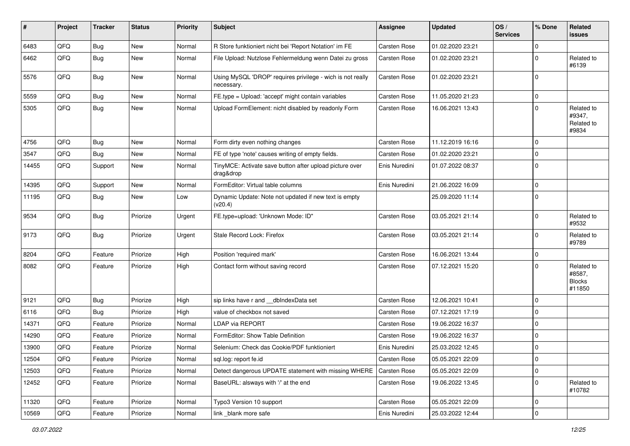| #     | Project | <b>Tracker</b> | <b>Status</b> | <b>Priority</b> | <b>Subject</b>                                                           | <b>Assignee</b>     | <b>Updated</b>   | OS/<br><b>Services</b> | % Done      | Related<br><b>issues</b>                        |
|-------|---------|----------------|---------------|-----------------|--------------------------------------------------------------------------|---------------------|------------------|------------------------|-------------|-------------------------------------------------|
| 6483  | QFQ     | <b>Bug</b>     | New           | Normal          | R Store funktioniert nicht bei 'Report Notation' im FE                   | Carsten Rose        | 01.02.2020 23:21 |                        | $\mathbf 0$ |                                                 |
| 6462  | QFQ     | <b>Bug</b>     | <b>New</b>    | Normal          | File Upload: Nutzlose Fehlermeldung wenn Datei zu gross                  | Carsten Rose        | 01.02.2020 23:21 |                        | $\mathbf 0$ | Related to<br>#6139                             |
| 5576  | QFQ     | <b>Bug</b>     | New           | Normal          | Using MySQL 'DROP' requires privilege - wich is not really<br>necessary. | Carsten Rose        | 01.02.2020 23:21 |                        | $\mathbf 0$ |                                                 |
| 5559  | QFQ     | <b>Bug</b>     | <b>New</b>    | Normal          | FE.type = Upload: 'accept' might contain variables                       | <b>Carsten Rose</b> | 11.05.2020 21:23 |                        | $\mathbf 0$ |                                                 |
| 5305  | QFQ     | <b>Bug</b>     | New           | Normal          | Upload FormElement: nicht disabled by readonly Form                      | <b>Carsten Rose</b> | 16.06.2021 13:43 |                        | $\mathbf 0$ | Related to<br>#9347,<br>Related to<br>#9834     |
| 4756  | QFQ     | <b>Bug</b>     | <b>New</b>    | Normal          | Form dirty even nothing changes                                          | Carsten Rose        | 11.12.2019 16:16 |                        | $\Omega$    |                                                 |
| 3547  | QFQ     | <b>Bug</b>     | <b>New</b>    | Normal          | FE of type 'note' causes writing of empty fields.                        | Carsten Rose        | 01.02.2020 23:21 |                        | 0           |                                                 |
| 14455 | QFQ     | Support        | <b>New</b>    | Normal          | TinyMCE: Activate save button after upload picture over<br>drag&drop     | Enis Nuredini       | 01.07.2022 08:37 |                        | 0           |                                                 |
| 14395 | QFQ     | Support        | <b>New</b>    | Normal          | FormEditor: Virtual table columns                                        | Enis Nuredini       | 21.06.2022 16:09 |                        | $\mathbf 0$ |                                                 |
| 11195 | QFQ     | <b>Bug</b>     | New           | Low             | Dynamic Update: Note not updated if new text is empty<br>(v20.4)         |                     | 25.09.2020 11:14 |                        | 0           |                                                 |
| 9534  | QFQ     | <b>Bug</b>     | Priorize      | Urgent          | FE.type=upload: 'Unknown Mode: ID"                                       | Carsten Rose        | 03.05.2021 21:14 |                        | $\mathbf 0$ | Related to<br>#9532                             |
| 9173  | QFQ     | <b>Bug</b>     | Priorize      | Urgent          | Stale Record Lock: Firefox                                               | Carsten Rose        | 03.05.2021 21:14 |                        | $\mathbf 0$ | Related to<br>#9789                             |
| 8204  | QFQ     | Feature        | Priorize      | High            | Position 'required mark'                                                 | Carsten Rose        | 16.06.2021 13:44 |                        | 0           |                                                 |
| 8082  | QFQ     | Feature        | Priorize      | High            | Contact form without saving record                                       | Carsten Rose        | 07.12.2021 15:20 |                        | $\mathbf 0$ | Related to<br>#8587,<br><b>Blocks</b><br>#11850 |
| 9121  | QFQ     | <b>Bug</b>     | Priorize      | High            | sip links have r and dblndexData set                                     | Carsten Rose        | 12.06.2021 10:41 |                        | 0           |                                                 |
| 6116  | QFQ     | <b>Bug</b>     | Priorize      | High            | value of checkbox not saved                                              | <b>Carsten Rose</b> | 07.12.2021 17:19 |                        | 0           |                                                 |
| 14371 | QFQ     | Feature        | Priorize      | Normal          | <b>LDAP via REPORT</b>                                                   | Carsten Rose        | 19.06.2022 16:37 |                        | $\mathbf 0$ |                                                 |
| 14290 | QFQ     | Feature        | Priorize      | Normal          | FormEditor: Show Table Definition                                        | Carsten Rose        | 19.06.2022 16:37 |                        | $\mathbf 0$ |                                                 |
| 13900 | QFQ     | Feature        | Priorize      | Normal          | Selenium: Check das Cookie/PDF funktioniert                              | Enis Nuredini       | 25.03.2022 12:45 |                        | $\mathbf 0$ |                                                 |
| 12504 | QFQ     | Feature        | Priorize      | Normal          | sql.log: report fe.id                                                    | Carsten Rose        | 05.05.2021 22:09 |                        | 0           |                                                 |
| 12503 | QFQ     | Feature        | Priorize      | Normal          | Detect dangerous UPDATE statement with missing WHERE                     | <b>Carsten Rose</b> | 05.05.2021 22:09 |                        | 0           |                                                 |
| 12452 | QFQ     | Feature        | Priorize      | Normal          | BaseURL: alsways with '/' at the end                                     | Carsten Rose        | 19.06.2022 13:45 |                        | $\mathbf 0$ | Related to<br>#10782                            |
| 11320 | QFQ     | Feature        | Priorize      | Normal          | Typo3 Version 10 support                                                 | Carsten Rose        | 05.05.2021 22:09 |                        | 0           |                                                 |
| 10569 | QFQ     | Feature        | Priorize      | Normal          | link blank more safe                                                     | Enis Nuredini       | 25.03.2022 12:44 |                        | $\mathbf 0$ |                                                 |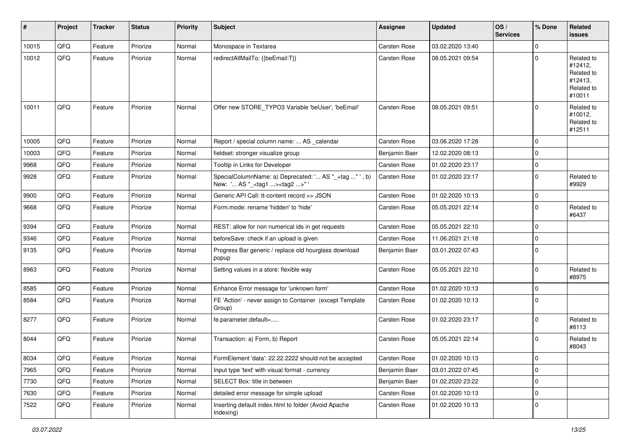| $\vert$ # | Project | <b>Tracker</b> | <b>Status</b> | <b>Priority</b> | Subject                                                                                            | Assignee            | <b>Updated</b>   | OS/<br><b>Services</b> | % Done      | Related<br><b>issues</b>                                               |
|-----------|---------|----------------|---------------|-----------------|----------------------------------------------------------------------------------------------------|---------------------|------------------|------------------------|-------------|------------------------------------------------------------------------|
| 10015     | QFQ     | Feature        | Priorize      | Normal          | Monospace in Textarea                                                                              | Carsten Rose        | 03.02.2020 13:40 |                        | $\Omega$    |                                                                        |
| 10012     | QFQ     | Feature        | Priorize      | Normal          | redirectAllMailTo: {{beEmail:T}}                                                                   | <b>Carsten Rose</b> | 08.05.2021 09:54 |                        | 0           | Related to<br>#12412,<br>Related to<br>#12413,<br>Related to<br>#10011 |
| 10011     | QFQ     | Feature        | Priorize      | Normal          | Offer new STORE_TYPO3 Variable 'beUser', 'beEmail'                                                 | <b>Carsten Rose</b> | 08.05.2021 09:51 |                        | $\Omega$    | Related to<br>#10012,<br>Related to<br>#12511                          |
| 10005     | QFQ     | Feature        | Priorize      | Normal          | Report / special column name:  AS _calendar                                                        | <b>Carsten Rose</b> | 03.06.2020 17:28 |                        | $\Omega$    |                                                                        |
| 10003     | QFQ     | Feature        | Priorize      | Normal          | fieldset: stronger visualize group                                                                 | Benjamin Baer       | 12.02.2020 08:13 |                        | $\mathbf 0$ |                                                                        |
| 9968      | QFQ     | Feature        | Priorize      | Normal          | Tooltip in Links for Developer                                                                     | Carsten Rose        | 01.02.2020 23:17 |                        | $\mathbf 0$ |                                                                        |
| 9928      | QFQ     | Feature        | Priorize      | Normal          | SpecialColumnName: a) Deprecated: ' AS "_+tag " ', b)<br>New: ' AS "_ <tag1><tag2>"'</tag2></tag1> | Carsten Rose        | 01.02.2020 23:17 |                        | $\mathbf 0$ | Related to<br>#9929                                                    |
| 9900      | QFQ     | Feature        | Priorize      | Normal          | Generic API Call: tt-content record >> JSON                                                        | Carsten Rose        | 01.02.2020 10:13 |                        | $\mathbf 0$ |                                                                        |
| 9668      | QFQ     | Feature        | Priorize      | Normal          | Form.mode: rename 'hidden' to 'hide'                                                               | Carsten Rose        | 05.05.2021 22:14 |                        | $\mathbf 0$ | Related to<br>#6437                                                    |
| 9394      | QFQ     | Feature        | Priorize      | Normal          | REST: allow for non numerical ids in get requests                                                  | <b>Carsten Rose</b> | 05.05.2021 22:10 |                        | $\mathbf 0$ |                                                                        |
| 9346      | QFQ     | Feature        | Priorize      | Normal          | beforeSave: check if an upload is given                                                            | Carsten Rose        | 11.06.2021 21:18 |                        | 0           |                                                                        |
| 9135      | QFQ     | Feature        | Priorize      | Normal          | Progress Bar generic / replace old hourglass download<br>popup                                     | Benjamin Baer       | 03.01.2022 07:43 |                        | $\Omega$    |                                                                        |
| 8963      | QFQ     | Feature        | Priorize      | Normal          | Setting values in a store: flexible way                                                            | Carsten Rose        | 05.05.2021 22:10 |                        | $\mathbf 0$ | Related to<br>#8975                                                    |
| 8585      | QFQ     | Feature        | Priorize      | Normal          | Enhance Error message for 'unknown form'                                                           | Carsten Rose        | 01.02.2020 10:13 |                        | $\mathbf 0$ |                                                                        |
| 8584      | QFQ     | Feature        | Priorize      | Normal          | FE 'Action' - never assign to Container (except Template<br>Group)                                 | Carsten Rose        | 01.02.2020 10:13 |                        | $\mathbf 0$ |                                                                        |
| 8277      | QFQ     | Feature        | Priorize      | Normal          | fe.parameter.default=                                                                              | Carsten Rose        | 01.02.2020 23:17 |                        | $\mathbf 0$ | Related to<br>#8113                                                    |
| 8044      | QFQ     | Feature        | Priorize      | Normal          | Transaction: a) Form, b) Report                                                                    | Carsten Rose        | 05.05.2021 22:14 |                        | $\mathbf 0$ | Related to<br>#8043                                                    |
| 8034      | QFQ     | Feature        | Priorize      | Normal          | FormElement 'data': 22.22.2222 should not be accepted                                              | <b>Carsten Rose</b> | 01.02.2020 10:13 |                        | 0           |                                                                        |
| 7965      | QFQ     | Feature        | Priorize      | Normal          | Input type 'text' with visual format - currency                                                    | Benjamin Baer       | 03.01.2022 07:45 |                        | $\mathbf 0$ |                                                                        |
| 7730      | QFQ     | Feature        | Priorize      | Normal          | SELECT Box: title in between                                                                       | Benjamin Baer       | 01.02.2020 23:22 |                        | 0           |                                                                        |
| 7630      | QFQ     | Feature        | Priorize      | Normal          | detailed error message for simple upload                                                           | Carsten Rose        | 01.02.2020 10:13 |                        | 0           |                                                                        |
| 7522      | QFQ     | Feature        | Priorize      | Normal          | Inserting default index.html to folder (Avoid Apache<br>Indexing)                                  | Carsten Rose        | 01.02.2020 10:13 |                        | $\mathbf 0$ |                                                                        |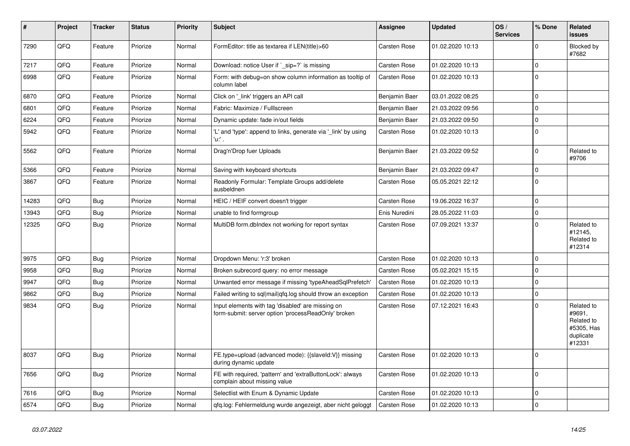| $\pmb{\sharp}$ | Project | <b>Tracker</b> | <b>Status</b> | <b>Priority</b> | <b>Subject</b>                                                                                           | Assignee            | <b>Updated</b>   | OS/<br><b>Services</b> | % Done         | <b>Related</b><br>issues                                                |
|----------------|---------|----------------|---------------|-----------------|----------------------------------------------------------------------------------------------------------|---------------------|------------------|------------------------|----------------|-------------------------------------------------------------------------|
| 7290           | QFQ     | Feature        | Priorize      | Normal          | FormEditor: title as textarea if LEN(title)>60                                                           | Carsten Rose        | 01.02.2020 10:13 |                        | $\Omega$       | Blocked by<br>#7682                                                     |
| 7217           | QFQ     | Feature        | Priorize      | Normal          | Download: notice User if `_sip=?` is missing                                                             | Carsten Rose        | 01.02.2020 10:13 |                        | $\Omega$       |                                                                         |
| 6998           | QFQ     | Feature        | Priorize      | Normal          | Form: with debug=on show column information as tooltip of<br>column label                                | Carsten Rose        | 01.02.2020 10:13 |                        | $\Omega$       |                                                                         |
| 6870           | QFQ     | Feature        | Priorize      | Normal          | Click on '_link' triggers an API call                                                                    | Benjamin Baer       | 03.01.2022 08:25 |                        | 0              |                                                                         |
| 6801           | QFQ     | Feature        | Priorize      | Normal          | Fabric: Maximize / FullIscreen                                                                           | Benjamin Baer       | 21.03.2022 09:56 |                        | $\Omega$       |                                                                         |
| 6224           | QFQ     | Feature        | Priorize      | Normal          | Dynamic update: fade in/out fields                                                                       | Benjamin Baer       | 21.03.2022 09:50 |                        | 0              |                                                                         |
| 5942           | QFQ     | Feature        | Priorize      | Normal          | 'L' and 'type': append to links, generate via 'link' by using<br>'u:' .                                  | Carsten Rose        | 01.02.2020 10:13 |                        | $\mathbf 0$    |                                                                         |
| 5562           | QFQ     | Feature        | Priorize      | Normal          | Drag'n'Drop fuer Uploads                                                                                 | Benjamin Baer       | 21.03.2022 09:52 |                        | 0              | Related to<br>#9706                                                     |
| 5366           | QFQ     | Feature        | Priorize      | Normal          | Saving with keyboard shortcuts                                                                           | Benjamin Baer       | 21.03.2022 09:47 |                        | $\Omega$       |                                                                         |
| 3867           | QFQ     | Feature        | Priorize      | Normal          | Readonly Formular: Template Groups add/delete<br>ausbeldnen                                              | Carsten Rose        | 05.05.2021 22:12 |                        | $\Omega$       |                                                                         |
| 14283          | QFQ     | <b>Bug</b>     | Priorize      | Normal          | HEIC / HEIF convert doesn't trigger                                                                      | Carsten Rose        | 19.06.2022 16:37 |                        | $\Omega$       |                                                                         |
| 13943          | QFQ     | <b>Bug</b>     | Priorize      | Normal          | unable to find formgroup                                                                                 | Enis Nuredini       | 28.05.2022 11:03 |                        | $\Omega$       |                                                                         |
| 12325          | QFQ     | <b>Bug</b>     | Priorize      | Normal          | MultiDB form.dblndex not working for report syntax                                                       | Carsten Rose        | 07.09.2021 13:37 |                        | 0              | Related to<br>#12145,<br>Related to<br>#12314                           |
| 9975           | QFQ     | Bug            | Priorize      | Normal          | Dropdown Menu: 'r:3' broken                                                                              | Carsten Rose        | 01.02.2020 10:13 |                        | 0              |                                                                         |
| 9958           | QFQ     | <b>Bug</b>     | Priorize      | Normal          | Broken subrecord query: no error message                                                                 | Carsten Rose        | 05.02.2021 15:15 |                        | 0              |                                                                         |
| 9947           | QFQ     | <b>Bug</b>     | Priorize      | Normal          | Unwanted error message if missing 'typeAheadSglPrefetch'                                                 | Carsten Rose        | 01.02.2020 10:13 |                        | 0              |                                                                         |
| 9862           | QFQ     | <b>Bug</b>     | Priorize      | Normal          | Failed writing to sql mail qfq.log should throw an exception                                             | Carsten Rose        | 01.02.2020 10:13 |                        | $\overline{0}$ |                                                                         |
| 9834           | QFQ     | <b>Bug</b>     | Priorize      | Normal          | Input elements with tag 'disabled' are missing on<br>form-submit: server option 'processReadOnly' broken | Carsten Rose        | 07.12.2021 16:43 |                        | $\mathbf 0$    | Related to<br>#9691,<br>Related to<br>#5305, Has<br>duplicate<br>#12331 |
| 8037           | QFQ     | <b>Bug</b>     | Priorize      | Normal          | FE.type=upload (advanced mode): {{slaveld:V}} missing<br>during dynamic update                           | Carsten Rose        | 01.02.2020 10:13 |                        | $\mathbf 0$    |                                                                         |
| 7656           | QFQ     | Bug            | Priorize      | Normal          | FE with required, 'pattern' and 'extraButtonLock': always<br>complain about missing value                | Carsten Rose        | 01.02.2020 10:13 |                        | $\mathbf 0$    |                                                                         |
| 7616           | QFQ     | Bug            | Priorize      | Normal          | Selectlist with Enum & Dynamic Update                                                                    | Carsten Rose        | 01.02.2020 10:13 |                        | $\overline{0}$ |                                                                         |
| 6574           | QFQ     | <b>Bug</b>     | Priorize      | Normal          | gfg.log: Fehlermeldung wurde angezeigt, aber nicht geloggt                                               | <b>Carsten Rose</b> | 01.02.2020 10:13 |                        | $\mathbf 0$    |                                                                         |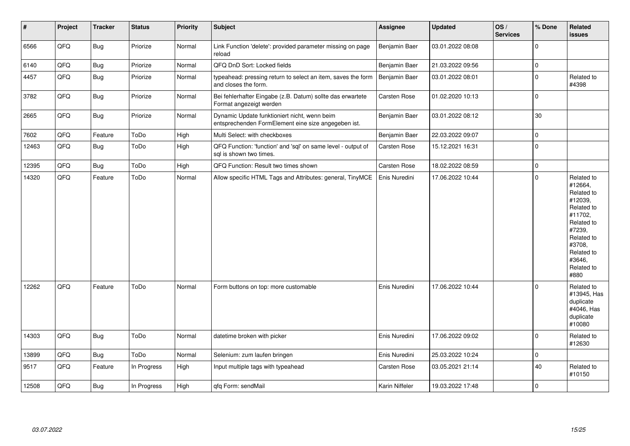| $\vert$ # | Project | <b>Tracker</b> | <b>Status</b> | <b>Priority</b> | <b>Subject</b>                                                                                      | <b>Assignee</b>     | <b>Updated</b>   | OS/<br><b>Services</b> | % Done       | <b>Related</b><br><b>issues</b>                                                                                                                                       |
|-----------|---------|----------------|---------------|-----------------|-----------------------------------------------------------------------------------------------------|---------------------|------------------|------------------------|--------------|-----------------------------------------------------------------------------------------------------------------------------------------------------------------------|
| 6566      | QFQ     | Bug            | Priorize      | Normal          | Link Function 'delete': provided parameter missing on page<br>reload                                | Benjamin Baer       | 03.01.2022 08:08 |                        | $\Omega$     |                                                                                                                                                                       |
| 6140      | QFQ     | <b>Bug</b>     | Priorize      | Normal          | QFQ DnD Sort: Locked fields                                                                         | Benjamin Baer       | 21.03.2022 09:56 |                        | 0            |                                                                                                                                                                       |
| 4457      | QFO     | <b>Bug</b>     | Priorize      | Normal          | typeahead: pressing return to select an item, saves the form<br>and closes the form.                | Benjamin Baer       | 03.01.2022 08:01 |                        | $\mathbf 0$  | Related to<br>#4398                                                                                                                                                   |
| 3782      | QFQ     | <b>Bug</b>     | Priorize      | Normal          | Bei fehlerhafter Eingabe (z.B. Datum) sollte das erwartete<br>Format angezeigt werden               | <b>Carsten Rose</b> | 01.02.2020 10:13 |                        | $\mathbf 0$  |                                                                                                                                                                       |
| 2665      | QFQ     | <b>Bug</b>     | Priorize      | Normal          | Dynamic Update funktioniert nicht, wenn beim<br>entsprechenden FormElement eine size angegeben ist. | Benjamin Baer       | 03.01.2022 08:12 |                        | 30           |                                                                                                                                                                       |
| 7602      | QFQ     | Feature        | ToDo          | High            | Multi Select: with checkboxes                                                                       | Benjamin Baer       | 22.03.2022 09:07 |                        | 0            |                                                                                                                                                                       |
| 12463     | QFQ     | <b>Bug</b>     | ToDo          | High            | QFQ Function: 'function' and 'sql' on same level - output of<br>sal is shown two times.             | Carsten Rose        | 15.12.2021 16:31 |                        | $\mathbf{0}$ |                                                                                                                                                                       |
| 12395     | QFQ     | Bug            | ToDo          | High            | QFQ Function: Result two times shown                                                                | <b>Carsten Rose</b> | 18.02.2022 08:59 |                        | $\mathbf{0}$ |                                                                                                                                                                       |
| 14320     | QFQ     | Feature        | ToDo          | Normal          | Allow specific HTML Tags and Attributes: general, TinyMCE                                           | Enis Nuredini       | 17.06.2022 10:44 |                        | $\Omega$     | Related to<br>#12664,<br>Related to<br>#12039,<br>Related to<br>#11702.<br>Related to<br>#7239,<br>Related to<br>#3708,<br>Related to<br>#3646,<br>Related to<br>#880 |
| 12262     | QFQ     | Feature        | ToDo          | Normal          | Form buttons on top: more customable                                                                | Enis Nuredini       | 17.06.2022 10:44 |                        | $\Omega$     | Related to<br>#13945, Has<br>duplicate<br>#4046, Has<br>duplicate<br>#10080                                                                                           |
| 14303     | QFQ     | <b>Bug</b>     | ToDo          | Normal          | datetime broken with picker                                                                         | Enis Nuredini       | 17.06.2022 09:02 |                        | $\Omega$     | Related to<br>#12630                                                                                                                                                  |
| 13899     | QFQ     | <b>Bug</b>     | ToDo          | Normal          | Selenium: zum laufen bringen                                                                        | Enis Nuredini       | 25.03.2022 10:24 |                        | 0            |                                                                                                                                                                       |
| 9517      | QFQ     | Feature        | In Progress   | High            | Input multiple tags with typeahead                                                                  | <b>Carsten Rose</b> | 03.05.2021 21:14 |                        | 40           | Related to<br>#10150                                                                                                                                                  |
| 12508     | QFQ     | Bug            | In Progress   | High            | qfq Form: sendMail                                                                                  | Karin Niffeler      | 19.03.2022 17:48 |                        | $\mathbf{0}$ |                                                                                                                                                                       |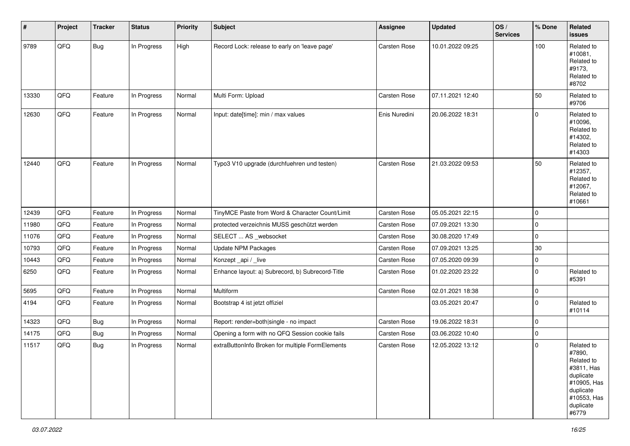| $\vert$ # | Project | <b>Tracker</b> | <b>Status</b> | <b>Priority</b> | <b>Subject</b>                                   | Assignee            | <b>Updated</b>   | OS/<br><b>Services</b> | % Done       | Related<br>issues                                                                                                              |
|-----------|---------|----------------|---------------|-----------------|--------------------------------------------------|---------------------|------------------|------------------------|--------------|--------------------------------------------------------------------------------------------------------------------------------|
| 9789      | QFQ     | Bug            | In Progress   | High            | Record Lock: release to early on 'leave page'    | Carsten Rose        | 10.01.2022 09:25 |                        | 100          | Related to<br>#10081,<br>Related to<br>#9173,<br>Related to<br>#8702                                                           |
| 13330     | QFQ     | Feature        | In Progress   | Normal          | Multi Form: Upload                               | Carsten Rose        | 07.11.2021 12:40 |                        | 50           | Related to<br>#9706                                                                                                            |
| 12630     | QFQ     | Feature        | In Progress   | Normal          | Input: date[time]: min / max values              | Enis Nuredini       | 20.06.2022 18:31 |                        | $\mathbf 0$  | Related to<br>#10096,<br>Related to<br>#14302,<br>Related to<br>#14303                                                         |
| 12440     | QFQ     | Feature        | In Progress   | Normal          | Typo3 V10 upgrade (durchfuehren und testen)      | <b>Carsten Rose</b> | 21.03.2022 09:53 |                        | 50           | Related to<br>#12357,<br>Related to<br>#12067,<br>Related to<br>#10661                                                         |
| 12439     | QFQ     | Feature        | In Progress   | Normal          | TinyMCE Paste from Word & Character Count/Limit  | <b>Carsten Rose</b> | 05.05.2021 22:15 |                        | $\mathbf{0}$ |                                                                                                                                |
| 11980     | QFQ     | Feature        | In Progress   | Normal          | protected verzeichnis MUSS geschützt werden      | Carsten Rose        | 07.09.2021 13:30 |                        | $\mathbf 0$  |                                                                                                                                |
| 11076     | QFQ     | Feature        | In Progress   | Normal          | SELECT  AS _websocket                            | Carsten Rose        | 30.08.2020 17:49 |                        | 0            |                                                                                                                                |
| 10793     | QFQ     | Feature        | In Progress   | Normal          | <b>Update NPM Packages</b>                       | Carsten Rose        | 07.09.2021 13:25 |                        | $30\,$       |                                                                                                                                |
| 10443     | QFQ     | Feature        | In Progress   | Normal          | Konzept_api / _live                              | <b>Carsten Rose</b> | 07.05.2020 09:39 |                        | 0            |                                                                                                                                |
| 6250      | QFQ     | Feature        | In Progress   | Normal          | Enhance layout: a) Subrecord, b) Subrecord-Title | Carsten Rose        | 01.02.2020 23:22 |                        | $\mathbf{0}$ | Related to<br>#5391                                                                                                            |
| 5695      | QFQ     | Feature        | In Progress   | Normal          | Multiform                                        | Carsten Rose        | 02.01.2021 18:38 |                        | 0            |                                                                                                                                |
| 4194      | QFQ     | Feature        | In Progress   | Normal          | Bootstrap 4 ist jetzt offiziel                   |                     | 03.05.2021 20:47 |                        | $\mathbf 0$  | Related to<br>#10114                                                                                                           |
| 14323     | QFQ     | <b>Bug</b>     | In Progress   | Normal          | Report: render=both single - no impact           | Carsten Rose        | 19.06.2022 18:31 |                        | $\mathbf 0$  |                                                                                                                                |
| 14175     | QFQ     | Bug            | In Progress   | Normal          | Opening a form with no QFQ Session cookie fails  | Carsten Rose        | 03.06.2022 10:40 |                        | $\mathbf 0$  |                                                                                                                                |
| 11517     | QFQ     | <b>Bug</b>     | In Progress   | Normal          | extraButtonInfo Broken for multiple FormElements | <b>Carsten Rose</b> | 12.05.2022 13:12 |                        | 0            | Related to<br>#7890,<br>Related to<br>#3811, Has<br>duplicate<br>#10905, Has<br>duplicate<br>#10553, Has<br>duplicate<br>#6779 |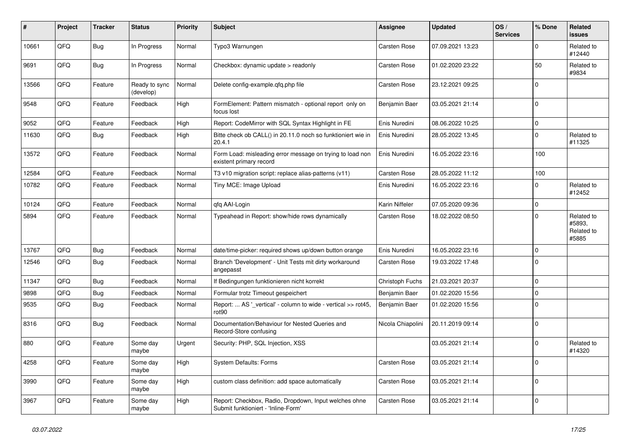| ∦     | Project | <b>Tracker</b> | <b>Status</b>              | <b>Priority</b> | <b>Subject</b>                                                                               | <b>Assignee</b>     | <b>Updated</b>   | OS/<br><b>Services</b> | % Done       | Related<br><b>issues</b>                    |
|-------|---------|----------------|----------------------------|-----------------|----------------------------------------------------------------------------------------------|---------------------|------------------|------------------------|--------------|---------------------------------------------|
| 10661 | QFQ     | <b>Bug</b>     | In Progress                | Normal          | Typo3 Warnungen                                                                              | <b>Carsten Rose</b> | 07.09.2021 13:23 |                        | $\mathbf 0$  | Related to<br>#12440                        |
| 9691  | QFQ     | <b>Bug</b>     | In Progress                | Normal          | Checkbox: dynamic update > readonly                                                          | Carsten Rose        | 01.02.2020 23:22 |                        | 50           | Related to<br>#9834                         |
| 13566 | QFQ     | Feature        | Ready to sync<br>(develop) | Normal          | Delete config-example.qfq.php file                                                           | <b>Carsten Rose</b> | 23.12.2021 09:25 |                        | $\Omega$     |                                             |
| 9548  | QFQ     | Feature        | Feedback                   | High            | FormElement: Pattern mismatch - optional report only on<br>focus lost                        | Benjamin Baer       | 03.05.2021 21:14 |                        | $\mathbf{0}$ |                                             |
| 9052  | QFQ     | Feature        | Feedback                   | High            | Report: CodeMirror with SQL Syntax Highlight in FE                                           | Enis Nuredini       | 08.06.2022 10:25 |                        | $\pmb{0}$    |                                             |
| 11630 | QFQ     | <b>Bug</b>     | Feedback                   | High            | Bitte check ob CALL() in 20.11.0 noch so funktioniert wie in<br>20.4.1                       | Enis Nuredini       | 28.05.2022 13:45 |                        | $\mathbf{0}$ | Related to<br>#11325                        |
| 13572 | QFQ     | Feature        | Feedback                   | Normal          | Form Load: misleading error message on trying to load non<br>existent primary record         | Enis Nuredini       | 16.05.2022 23:16 |                        | 100          |                                             |
| 12584 | QFQ     | Feature        | Feedback                   | Normal          | T3 v10 migration script: replace alias-patterns (v11)                                        | Carsten Rose        | 28.05.2022 11:12 |                        | 100          |                                             |
| 10782 | QFQ     | Feature        | Feedback                   | Normal          | Tiny MCE: Image Upload                                                                       | Enis Nuredini       | 16.05.2022 23:16 |                        | 0            | Related to<br>#12452                        |
| 10124 | QFQ     | Feature        | Feedback                   | Normal          | qfq AAI-Login                                                                                | Karin Niffeler      | 07.05.2020 09:36 |                        | $\mathbf{0}$ |                                             |
| 5894  | QFQ     | Feature        | Feedback                   | Normal          | Typeahead in Report: show/hide rows dynamically                                              | Carsten Rose        | 18.02.2022 08:50 |                        | $\Omega$     | Related to<br>#5893.<br>Related to<br>#5885 |
| 13767 | QFQ     | <b>Bug</b>     | Feedback                   | Normal          | date/time-picker: required shows up/down button orange                                       | Enis Nuredini       | 16.05.2022 23:16 |                        | $\Omega$     |                                             |
| 12546 | QFQ     | <b>Bug</b>     | Feedback                   | Normal          | Branch 'Development' - Unit Tests mit dirty workaround<br>angepasst                          | Carsten Rose        | 19.03.2022 17:48 |                        | $\Omega$     |                                             |
| 11347 | QFQ     | <b>Bug</b>     | Feedback                   | Normal          | If Bedingungen funktionieren nicht korrekt                                                   | Christoph Fuchs     | 21.03.2021 20:37 |                        | $\mathbf 0$  |                                             |
| 9898  | QFQ     | <b>Bug</b>     | Feedback                   | Normal          | Formular trotz Timeout gespeichert                                                           | Benjamin Baer       | 01.02.2020 15:56 |                        | $\mathbf 0$  |                                             |
| 9535  | QFQ     | <b>Bug</b>     | Feedback                   | Normal          | Report:  AS '_vertical' - column to wide - vertical >> rot45,<br>rot90                       | Benjamin Baer       | 01.02.2020 15:56 |                        | $\Omega$     |                                             |
| 8316  | QFQ     | Bug            | Feedback                   | Normal          | Documentation/Behaviour for Nested Queries and<br>Record-Store confusing                     | Nicola Chiapolini   | 20.11.2019 09:14 |                        | $\mathbf{0}$ |                                             |
| 880   | QFQ     | Feature        | Some day<br>maybe          | Urgent          | Security: PHP, SQL Injection, XSS                                                            |                     | 03.05.2021 21:14 |                        | 0            | Related to<br>#14320                        |
| 4258  | QFQ     | Feature        | Some day<br>maybe          | High            | <b>System Defaults: Forms</b>                                                                | Carsten Rose        | 03.05.2021 21:14 |                        | $\Omega$     |                                             |
| 3990  | QFQ     | Feature        | Some day<br>maybe          | High            | custom class definition: add space automatically                                             | Carsten Rose        | 03.05.2021 21:14 |                        | $\Omega$     |                                             |
| 3967  | QFQ     | Feature        | Some day<br>maybe          | High            | Report: Checkbox, Radio, Dropdown, Input welches ohne<br>Submit funktioniert - 'Inline-Form' | Carsten Rose        | 03.05.2021 21:14 |                        | 0            |                                             |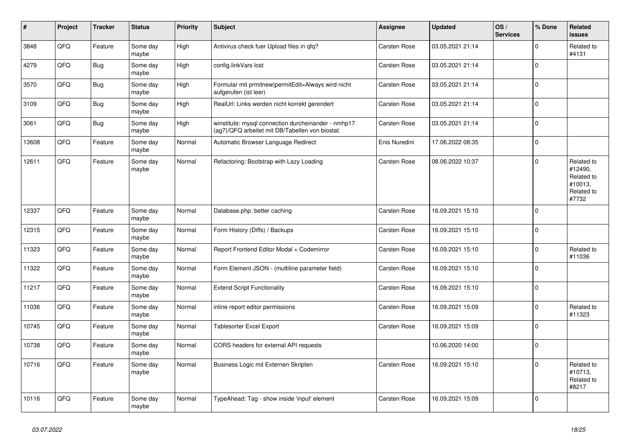| $\vert$ # | Project | <b>Tracker</b> | <b>Status</b>     | <b>Priority</b> | <b>Subject</b>                                                                                         | Assignee      | <b>Updated</b>   | OS/<br><b>Services</b> | % Done       | Related<br><b>issues</b>                                              |
|-----------|---------|----------------|-------------------|-----------------|--------------------------------------------------------------------------------------------------------|---------------|------------------|------------------------|--------------|-----------------------------------------------------------------------|
| 3848      | QFQ     | Feature        | Some day<br>maybe | High            | Antivirus check fuer Upload files in gfg?                                                              | Carsten Rose  | 03.05.2021 21:14 |                        | $\Omega$     | Related to<br>#4131                                                   |
| 4279      | QFQ     | <b>Bug</b>     | Some day<br>maybe | High            | config.linkVars lost                                                                                   | Carsten Rose  | 03.05.2021 21:14 |                        | $\mathbf 0$  |                                                                       |
| 3570      | QFQ     | <b>Bug</b>     | Some day<br>maybe | High            | Formular mit prmitnew permitEdit=Always wird nicht<br>aufgerufen (ist leer)                            | Carsten Rose  | 03.05.2021 21:14 |                        | $\mathbf{0}$ |                                                                       |
| 3109      | QFQ     | <b>Bug</b>     | Some day<br>maybe | High            | RealUrl: Links werden nicht korrekt gerendert                                                          | Carsten Rose  | 03.05.2021 21:14 |                        | $\mathbf 0$  |                                                                       |
| 3061      | QFQ     | Bug            | Some day<br>maybe | High            | winstitute: mysql connection durcheinander - nmhp17<br>(ag7)/QFQ arbeitet mit DB/Tabellen von biostat. | Carsten Rose  | 03.05.2021 21:14 |                        | $\mathbf 0$  |                                                                       |
| 13608     | QFQ     | Feature        | Some day<br>maybe | Normal          | Automatic Browser Language Redirect                                                                    | Enis Nuredini | 17.06.2022 08:35 |                        | $\Omega$     |                                                                       |
| 12611     | QFQ     | Feature        | Some day<br>maybe | Normal          | Refactoring: Bootstrap with Lazy Loading                                                               | Carsten Rose  | 08.06.2022 10:37 |                        | $\Omega$     | Related to<br>#12490,<br>Related to<br>#10013,<br>Related to<br>#7732 |
| 12337     | QFQ     | Feature        | Some day<br>maybe | Normal          | Database.php: better caching                                                                           | Carsten Rose  | 16.09.2021 15:10 |                        | $\mathbf 0$  |                                                                       |
| 12315     | QFQ     | Feature        | Some day<br>maybe | Normal          | Form History (Diffs) / Backups                                                                         | Carsten Rose  | 16.09.2021 15:10 |                        | $\mathbf 0$  |                                                                       |
| 11323     | QFQ     | Feature        | Some day<br>maybe | Normal          | Report Frontend Editor Modal + Codemirror                                                              | Carsten Rose  | 16.09.2021 15:10 |                        | $\mathbf 0$  | Related to<br>#11036                                                  |
| 11322     | QFQ     | Feature        | Some day<br>maybe | Normal          | Form Element JSON - (multiline parameter field)                                                        | Carsten Rose  | 16.09.2021 15:10 |                        | $\pmb{0}$    |                                                                       |
| 11217     | QFQ     | Feature        | Some day<br>maybe | Normal          | <b>Extend Script Functionality</b>                                                                     | Carsten Rose  | 16.09.2021 15:10 |                        | $\mathbf 0$  |                                                                       |
| 11036     | QFQ     | Feature        | Some day<br>maybe | Normal          | inline report editor permissions                                                                       | Carsten Rose  | 16.09.2021 15:09 |                        | $\Omega$     | Related to<br>#11323                                                  |
| 10745     | QFQ     | Feature        | Some day<br>maybe | Normal          | <b>Tablesorter Excel Export</b>                                                                        | Carsten Rose  | 16.09.2021 15:09 |                        | $\mathbf 0$  |                                                                       |
| 10738     | QFQ     | Feature        | Some day<br>maybe | Normal          | CORS headers for external API requests                                                                 |               | 10.06.2020 14:00 |                        | $\mathbf 0$  |                                                                       |
| 10716     | QFQ     | Feature        | Some day<br>maybe | Normal          | Business Logic mit Externen Skripten                                                                   | Carsten Rose  | 16.09.2021 15:10 |                        | $\mathbf 0$  | Related to<br>#10713.<br>Related to<br>#8217                          |
| 10116     | QFQ     | Feature        | Some day<br>maybe | Normal          | TypeAhead: Tag - show inside 'input' element                                                           | Carsten Rose  | 16.09.2021 15:09 |                        | $\mathbf 0$  |                                                                       |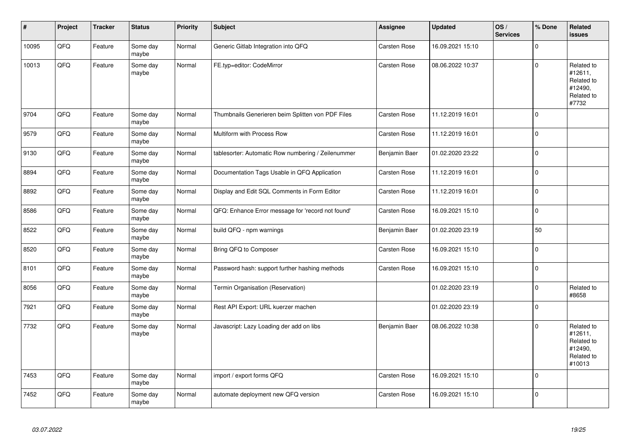| #     | Project | <b>Tracker</b> | <b>Status</b>     | <b>Priority</b> | <b>Subject</b>                                     | Assignee      | <b>Updated</b>   | OS/<br><b>Services</b> | % Done      | <b>Related</b><br><b>issues</b>                                        |
|-------|---------|----------------|-------------------|-----------------|----------------------------------------------------|---------------|------------------|------------------------|-------------|------------------------------------------------------------------------|
| 10095 | QFQ     | Feature        | Some day<br>maybe | Normal          | Generic Gitlab Integration into QFQ                | Carsten Rose  | 16.09.2021 15:10 |                        | $\Omega$    |                                                                        |
| 10013 | QFQ     | Feature        | Some day<br>maybe | Normal          | FE.typ=editor: CodeMirror                          | Carsten Rose  | 08.06.2022 10:37 |                        | $\mathbf 0$ | Related to<br>#12611,<br>Related to<br>#12490,<br>Related to<br>#7732  |
| 9704  | QFQ     | Feature        | Some day<br>maybe | Normal          | Thumbnails Generieren beim Splitten von PDF Files  | Carsten Rose  | 11.12.2019 16:01 |                        | 0           |                                                                        |
| 9579  | QFQ     | Feature        | Some day<br>maybe | Normal          | Multiform with Process Row                         | Carsten Rose  | 11.12.2019 16:01 |                        | $\mathbf 0$ |                                                                        |
| 9130  | QFQ     | Feature        | Some day<br>maybe | Normal          | tablesorter: Automatic Row numbering / Zeilenummer | Benjamin Baer | 01.02.2020 23:22 |                        | $\mathbf 0$ |                                                                        |
| 8894  | QFQ     | Feature        | Some day<br>maybe | Normal          | Documentation Tags Usable in QFQ Application       | Carsten Rose  | 11.12.2019 16:01 |                        | $\mathbf 0$ |                                                                        |
| 8892  | QFQ     | Feature        | Some day<br>maybe | Normal          | Display and Edit SQL Comments in Form Editor       | Carsten Rose  | 11.12.2019 16:01 |                        | $\mathbf 0$ |                                                                        |
| 8586  | QFQ     | Feature        | Some day<br>maybe | Normal          | QFQ: Enhance Error message for 'record not found'  | Carsten Rose  | 16.09.2021 15:10 |                        | $\mathbf 0$ |                                                                        |
| 8522  | QFQ     | Feature        | Some day<br>maybe | Normal          | build QFQ - npm warnings                           | Benjamin Baer | 01.02.2020 23:19 |                        | 50          |                                                                        |
| 8520  | QFQ     | Feature        | Some day<br>maybe | Normal          | Bring QFQ to Composer                              | Carsten Rose  | 16.09.2021 15:10 |                        | $\mathbf 0$ |                                                                        |
| 8101  | QFQ     | Feature        | Some day<br>maybe | Normal          | Password hash: support further hashing methods     | Carsten Rose  | 16.09.2021 15:10 |                        | $\pmb{0}$   |                                                                        |
| 8056  | QFQ     | Feature        | Some day<br>maybe | Normal          | Termin Organisation (Reservation)                  |               | 01.02.2020 23:19 |                        | 0           | Related to<br>#8658                                                    |
| 7921  | QFQ     | Feature        | Some day<br>maybe | Normal          | Rest API Export: URL kuerzer machen                |               | 01.02.2020 23:19 |                        | 0           |                                                                        |
| 7732  | QFO     | Feature        | Some day<br>maybe | Normal          | Javascript: Lazy Loading der add on libs           | Benjamin Baer | 08.06.2022 10:38 |                        | $\mathbf 0$ | Related to<br>#12611,<br>Related to<br>#12490,<br>Related to<br>#10013 |
| 7453  | QFQ     | Feature        | Some day<br>maybe | Normal          | import / export forms QFQ                          | Carsten Rose  | 16.09.2021 15:10 |                        | $\mathbf 0$ |                                                                        |
| 7452  | QFQ     | Feature        | Some day<br>maybe | Normal          | automate deployment new QFQ version                | Carsten Rose  | 16.09.2021 15:10 |                        | $\mathbf 0$ |                                                                        |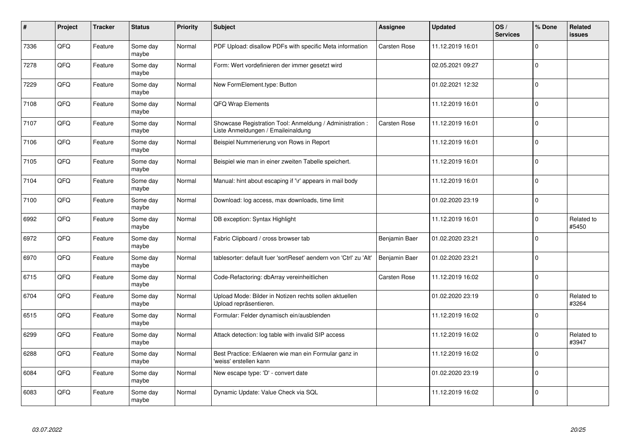| #    | Project | <b>Tracker</b> | <b>Status</b>     | <b>Priority</b> | <b>Subject</b>                                                                                 | Assignee      | <b>Updated</b>   | OS/<br><b>Services</b> | % Done      | Related<br>issues   |
|------|---------|----------------|-------------------|-----------------|------------------------------------------------------------------------------------------------|---------------|------------------|------------------------|-------------|---------------------|
| 7336 | QFQ     | Feature        | Some day<br>maybe | Normal          | PDF Upload: disallow PDFs with specific Meta information                                       | Carsten Rose  | 11.12.2019 16:01 |                        | $\mathbf 0$ |                     |
| 7278 | QFQ     | Feature        | Some day<br>maybe | Normal          | Form: Wert vordefinieren der immer gesetzt wird                                                |               | 02.05.2021 09:27 |                        | $\Omega$    |                     |
| 7229 | QFQ     | Feature        | Some day<br>maybe | Normal          | New FormElement.type: Button                                                                   |               | 01.02.2021 12:32 |                        | $\mathbf 0$ |                     |
| 7108 | QFQ     | Feature        | Some day<br>maybe | Normal          | QFQ Wrap Elements                                                                              |               | 11.12.2019 16:01 |                        | $\mathbf 0$ |                     |
| 7107 | QFQ     | Feature        | Some day<br>maybe | Normal          | Showcase Registration Tool: Anmeldung / Administration :<br>Liste Anmeldungen / Emaileinaldung | Carsten Rose  | 11.12.2019 16:01 |                        | $\mathbf 0$ |                     |
| 7106 | QFQ     | Feature        | Some day<br>maybe | Normal          | Beispiel Nummerierung von Rows in Report                                                       |               | 11.12.2019 16:01 |                        | $\mathbf 0$ |                     |
| 7105 | QFQ     | Feature        | Some day<br>maybe | Normal          | Beispiel wie man in einer zweiten Tabelle speichert.                                           |               | 11.12.2019 16:01 |                        | $\Omega$    |                     |
| 7104 | QFQ     | Feature        | Some day<br>maybe | Normal          | Manual: hint about escaping if '\r' appears in mail body                                       |               | 11.12.2019 16:01 |                        | $\Omega$    |                     |
| 7100 | QFQ     | Feature        | Some day<br>maybe | Normal          | Download: log access, max downloads, time limit                                                |               | 01.02.2020 23:19 |                        | $\Omega$    |                     |
| 6992 | QFQ     | Feature        | Some day<br>maybe | Normal          | DB exception: Syntax Highlight                                                                 |               | 11.12.2019 16:01 |                        | $\mathbf 0$ | Related to<br>#5450 |
| 6972 | QFQ     | Feature        | Some day<br>maybe | Normal          | Fabric Clipboard / cross browser tab                                                           | Benjamin Baer | 01.02.2020 23:21 |                        | $\mathbf 0$ |                     |
| 6970 | QFQ     | Feature        | Some day<br>maybe | Normal          | tablesorter: default fuer 'sortReset' aendern von 'Ctrl' zu 'Alt'                              | Benjamin Baer | 01.02.2020 23:21 |                        | $\Omega$    |                     |
| 6715 | QFQ     | Feature        | Some day<br>maybe | Normal          | Code-Refactoring: dbArray vereinheitlichen                                                     | Carsten Rose  | 11.12.2019 16:02 |                        | $\mathbf 0$ |                     |
| 6704 | QFQ     | Feature        | Some day<br>maybe | Normal          | Upload Mode: Bilder in Notizen rechts sollen aktuellen<br>Upload repräsentieren.               |               | 01.02.2020 23:19 |                        | $\mathbf 0$ | Related to<br>#3264 |
| 6515 | QFQ     | Feature        | Some day<br>maybe | Normal          | Formular: Felder dynamisch ein/ausblenden                                                      |               | 11.12.2019 16:02 |                        | $\mathbf 0$ |                     |
| 6299 | QFQ     | Feature        | Some day<br>maybe | Normal          | Attack detection: log table with invalid SIP access                                            |               | 11.12.2019 16:02 |                        | $\mathbf 0$ | Related to<br>#3947 |
| 6288 | QFQ     | Feature        | Some day<br>maybe | Normal          | Best Practice: Erklaeren wie man ein Formular ganz in<br>'weiss' erstellen kann                |               | 11.12.2019 16:02 |                        | $\Omega$    |                     |
| 6084 | QFQ     | Feature        | Some day<br>maybe | Normal          | New escape type: 'D' - convert date                                                            |               | 01.02.2020 23:19 |                        | $\mathbf 0$ |                     |
| 6083 | QFQ     | Feature        | Some day<br>maybe | Normal          | Dynamic Update: Value Check via SQL                                                            |               | 11.12.2019 16:02 |                        | $\Omega$    |                     |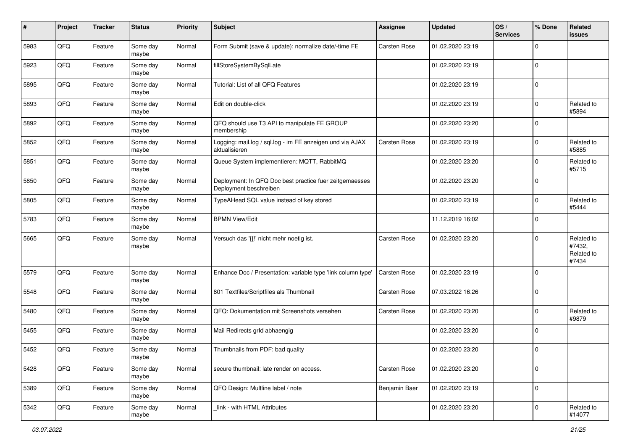| #    | Project | <b>Tracker</b> | <b>Status</b>     | <b>Priority</b> | <b>Subject</b>                                                                    | <b>Assignee</b>     | <b>Updated</b>   | OS/<br><b>Services</b> | % Done         | Related<br><b>issues</b>                    |
|------|---------|----------------|-------------------|-----------------|-----------------------------------------------------------------------------------|---------------------|------------------|------------------------|----------------|---------------------------------------------|
| 5983 | QFQ     | Feature        | Some day<br>maybe | Normal          | Form Submit (save & update): normalize date/-time FE                              | Carsten Rose        | 01.02.2020 23:19 |                        | $\Omega$       |                                             |
| 5923 | QFQ     | Feature        | Some day<br>maybe | Normal          | fillStoreSystemBySqlLate                                                          |                     | 01.02.2020 23:19 |                        | $\mathbf 0$    |                                             |
| 5895 | QFQ     | Feature        | Some day<br>maybe | Normal          | Tutorial: List of all QFQ Features                                                |                     | 01.02.2020 23:19 |                        | $\mathbf 0$    |                                             |
| 5893 | QFQ     | Feature        | Some day<br>maybe | Normal          | Edit on double-click                                                              |                     | 01.02.2020 23:19 |                        | $\mathbf 0$    | Related to<br>#5894                         |
| 5892 | QFQ     | Feature        | Some day<br>maybe | Normal          | QFQ should use T3 API to manipulate FE GROUP<br>membership                        |                     | 01.02.2020 23:20 |                        | $\mathbf 0$    |                                             |
| 5852 | QFQ     | Feature        | Some day<br>maybe | Normal          | Logging: mail.log / sql.log - im FE anzeigen und via AJAX<br>aktualisieren        | Carsten Rose        | 01.02.2020 23:19 |                        | $\mathbf 0$    | Related to<br>#5885                         |
| 5851 | QFQ     | Feature        | Some day<br>maybe | Normal          | Queue System implementieren: MQTT, RabbitMQ                                       |                     | 01.02.2020 23:20 |                        | $\mathbf 0$    | Related to<br>#5715                         |
| 5850 | QFQ     | Feature        | Some day<br>maybe | Normal          | Deployment: In QFQ Doc best practice fuer zeitgemaesses<br>Deployment beschreiben |                     | 01.02.2020 23:20 |                        | $\mathbf 0$    |                                             |
| 5805 | QFQ     | Feature        | Some day<br>maybe | Normal          | TypeAHead SQL value instead of key stored                                         |                     | 01.02.2020 23:19 |                        | $\mathbf 0$    | Related to<br>#5444                         |
| 5783 | QFQ     | Feature        | Some day<br>maybe | Normal          | <b>BPMN View/Edit</b>                                                             |                     | 11.12.2019 16:02 |                        | $\mathbf 0$    |                                             |
| 5665 | QFQ     | Feature        | Some day<br>maybe | Normal          | Versuch das '{{!' nicht mehr noetig ist.                                          | Carsten Rose        | 01.02.2020 23:20 |                        | $\mathbf 0$    | Related to<br>#7432,<br>Related to<br>#7434 |
| 5579 | QFQ     | Feature        | Some day<br>maybe | Normal          | Enhance Doc / Presentation: variable type 'link column type'                      | <b>Carsten Rose</b> | 01.02.2020 23:19 |                        | $\mathbf 0$    |                                             |
| 5548 | QFQ     | Feature        | Some day<br>maybe | Normal          | 801 Textfiles/Scriptfiles als Thumbnail                                           | Carsten Rose        | 07.03.2022 16:26 |                        | $\mathbf 0$    |                                             |
| 5480 | QFQ     | Feature        | Some day<br>maybe | Normal          | QFQ: Dokumentation mit Screenshots versehen                                       | Carsten Rose        | 01.02.2020 23:20 |                        | $\mathbf 0$    | Related to<br>#9879                         |
| 5455 | QFQ     | Feature        | Some day<br>maybe | Normal          | Mail Redirects grld abhaengig                                                     |                     | 01.02.2020 23:20 |                        | $\mathbf 0$    |                                             |
| 5452 | QFQ     | Feature        | Some day<br>maybe | Normal          | Thumbnails from PDF: bad quality                                                  |                     | 01.02.2020 23:20 |                        | $\mathbf 0$    |                                             |
| 5428 | QFQ     | Feature        | Some day<br>maybe | Normal          | secure thumbnail: late render on access.                                          | Carsten Rose        | 01.02.2020 23:20 |                        | $\mathbf 0$    |                                             |
| 5389 | QFQ     | Feature        | Some day<br>maybe | Normal          | QFQ Design: Multline label / note                                                 | Benjamin Baer       | 01.02.2020 23:19 |                        | $\overline{0}$ |                                             |
| 5342 | QFQ     | Feature        | Some day<br>maybe | Normal          | link - with HTML Attributes                                                       |                     | 01.02.2020 23:20 |                        | $\overline{0}$ | Related to<br>#14077                        |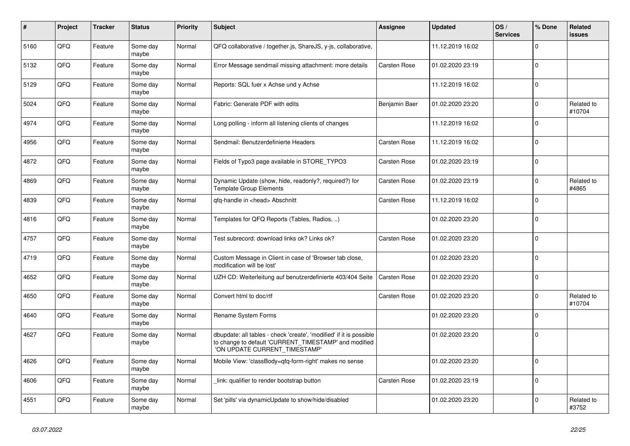| $\pmb{\sharp}$ | <b>Project</b> | <b>Tracker</b> | <b>Status</b>     | <b>Priority</b> | <b>Subject</b>                                                                                                                                                | <b>Assignee</b>     | <b>Updated</b>   | OS/<br><b>Services</b> | % Done      | Related<br><b>issues</b> |
|----------------|----------------|----------------|-------------------|-----------------|---------------------------------------------------------------------------------------------------------------------------------------------------------------|---------------------|------------------|------------------------|-------------|--------------------------|
| 5160           | QFQ            | Feature        | Some day<br>maybe | Normal          | QFQ collaborative / together.js, ShareJS, y-js, collaborative,                                                                                                |                     | 11.12.2019 16:02 |                        | $\Omega$    |                          |
| 5132           | QFQ            | Feature        | Some day<br>maybe | Normal          | Error Message sendmail missing attachment: more details                                                                                                       | Carsten Rose        | 01.02.2020 23:19 |                        | $\mathbf 0$ |                          |
| 5129           | QFQ            | Feature        | Some day<br>maybe | Normal          | Reports: SQL fuer x Achse und y Achse                                                                                                                         |                     | 11.12.2019 16:02 |                        | $\Omega$    |                          |
| 5024           | QFQ            | Feature        | Some day<br>maybe | Normal          | Fabric: Generate PDF with edits                                                                                                                               | Benjamin Baer       | 01.02.2020 23:20 |                        | $\Omega$    | Related to<br>#10704     |
| 4974           | QFQ            | Feature        | Some day<br>maybe | Normal          | Long polling - inform all listening clients of changes                                                                                                        |                     | 11.12.2019 16:02 |                        | $\mathbf 0$ |                          |
| 4956           | QFQ            | Feature        | Some day<br>maybe | Normal          | Sendmail: Benutzerdefinierte Headers                                                                                                                          | Carsten Rose        | 11.12.2019 16:02 |                        | $\mathbf 0$ |                          |
| 4872           | QFQ            | Feature        | Some day<br>maybe | Normal          | Fields of Typo3 page available in STORE_TYPO3                                                                                                                 | <b>Carsten Rose</b> | 01.02.2020 23:19 |                        | $\Omega$    |                          |
| 4869           | QFQ            | Feature        | Some day<br>maybe | Normal          | Dynamic Update (show, hide, readonly?, required?) for<br><b>Template Group Elements</b>                                                                       | Carsten Rose        | 01.02.2020 23:19 |                        | $\mathbf 0$ | Related to<br>#4865      |
| 4839           | QFQ            | Feature        | Some day<br>maybe | Normal          | qfq-handle in <head> Abschnitt</head>                                                                                                                         | Carsten Rose        | 11.12.2019 16:02 |                        | $\Omega$    |                          |
| 4816           | QFQ            | Feature        | Some day<br>maybe | Normal          | Templates for QFQ Reports (Tables, Radios, )                                                                                                                  |                     | 01.02.2020 23:20 |                        | $\Omega$    |                          |
| 4757           | QFQ            | Feature        | Some day<br>maybe | Normal          | Test subrecord: download links ok? Links ok?                                                                                                                  | Carsten Rose        | 01.02.2020 23:20 |                        | $\mathbf 0$ |                          |
| 4719           | QFQ            | Feature        | Some day<br>maybe | Normal          | Custom Message in Client in case of 'Browser tab close,<br>modification will be lost'                                                                         |                     | 01.02.2020 23:20 |                        | $\Omega$    |                          |
| 4652           | QFQ            | Feature        | Some day<br>maybe | Normal          | UZH CD: Weiterleitung auf benutzerdefinierte 403/404 Seite                                                                                                    | <b>Carsten Rose</b> | 01.02.2020 23:20 |                        | $\Omega$    |                          |
| 4650           | QFQ            | Feature        | Some day<br>maybe | Normal          | Convert html to doc/rtf                                                                                                                                       | Carsten Rose        | 01.02.2020 23:20 |                        | $\Omega$    | Related to<br>#10704     |
| 4640           | QFQ            | Feature        | Some day<br>maybe | Normal          | <b>Rename System Forms</b>                                                                                                                                    |                     | 01.02.2020 23:20 |                        | $\Omega$    |                          |
| 4627           | QFQ            | Feature        | Some day<br>maybe | Normal          | dbupdate: all tables - check 'create', 'modified' if it is possible<br>to change to default 'CURRENT_TIMESTAMP' and modified<br>'ON UPDATE CURRENT TIMESTAMP' |                     | 01.02.2020 23:20 |                        | $\mathbf 0$ |                          |
| 4626           | QFQ            | Feature        | Some dav<br>maybe | Normal          | Mobile View: 'classBody=qfq-form-right' makes no sense                                                                                                        |                     | 01.02.2020 23:20 |                        | $\Omega$    |                          |
| 4606           | QFQ            | Feature        | Some day<br>maybe | Normal          | link: qualifier to render bootstrap button                                                                                                                    | Carsten Rose        | 01.02.2020 23:19 |                        | $\mathbf 0$ |                          |
| 4551           | QFQ            | Feature        | Some day<br>maybe | Normal          | Set 'pills' via dynamicUpdate to show/hide/disabled                                                                                                           |                     | 01.02.2020 23:20 |                        | $\Omega$    | Related to<br>#3752      |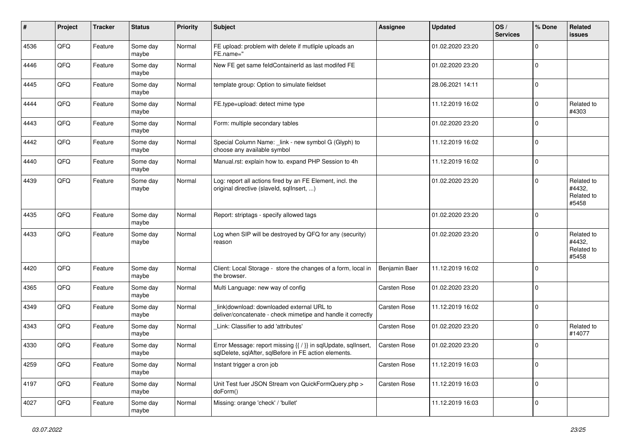| $\#$ | Project | <b>Tracker</b> | <b>Status</b>     | <b>Priority</b> | Subject                                                                                                                 | <b>Assignee</b> | <b>Updated</b>   | OS/<br><b>Services</b> | % Done      | <b>Related</b><br><b>issues</b>             |
|------|---------|----------------|-------------------|-----------------|-------------------------------------------------------------------------------------------------------------------------|-----------------|------------------|------------------------|-------------|---------------------------------------------|
| 4536 | QFQ     | Feature        | Some day<br>maybe | Normal          | FE upload: problem with delete if mutliple uploads an<br>FE.name="                                                      |                 | 01.02.2020 23:20 |                        | $\mathbf 0$ |                                             |
| 4446 | QFQ     | Feature        | Some day<br>maybe | Normal          | New FE get same feldContainerId as last modifed FE                                                                      |                 | 01.02.2020 23:20 |                        | $\mathbf 0$ |                                             |
| 4445 | QFQ     | Feature        | Some day<br>maybe | Normal          | template group: Option to simulate fieldset                                                                             |                 | 28.06.2021 14:11 |                        | $\mathbf 0$ |                                             |
| 4444 | QFQ     | Feature        | Some day<br>maybe | Normal          | FE.type=upload: detect mime type                                                                                        |                 | 11.12.2019 16:02 |                        | 0           | Related to<br>#4303                         |
| 4443 | QFQ     | Feature        | Some day<br>maybe | Normal          | Form: multiple secondary tables                                                                                         |                 | 01.02.2020 23:20 |                        | $\mathbf 0$ |                                             |
| 4442 | QFQ     | Feature        | Some day<br>maybe | Normal          | Special Column Name: _link - new symbol G (Glyph) to<br>choose any available symbol                                     |                 | 11.12.2019 16:02 |                        | $\mathbf 0$ |                                             |
| 4440 | QFQ     | Feature        | Some day<br>maybe | Normal          | Manual.rst: explain how to. expand PHP Session to 4h                                                                    |                 | 11.12.2019 16:02 |                        | $\mathbf 0$ |                                             |
| 4439 | QFQ     | Feature        | Some day<br>maybe | Normal          | Log: report all actions fired by an FE Element, incl. the<br>original directive (slaveld, sqllnsert, )                  |                 | 01.02.2020 23:20 |                        | $\mathbf 0$ | Related to<br>#4432,<br>Related to<br>#5458 |
| 4435 | QFQ     | Feature        | Some day<br>maybe | Normal          | Report: striptags - specify allowed tags                                                                                |                 | 01.02.2020 23:20 |                        | $\Omega$    |                                             |
| 4433 | QFQ     | Feature        | Some day<br>maybe | Normal          | Log when SIP will be destroyed by QFQ for any (security)<br>reason                                                      |                 | 01.02.2020 23:20 |                        | $\mathbf 0$ | Related to<br>#4432,<br>Related to<br>#5458 |
| 4420 | QFQ     | Feature        | Some day<br>maybe | Normal          | Client: Local Storage - store the changes of a form, local in<br>the browser.                                           | Benjamin Baer   | 11.12.2019 16:02 |                        | $\mathbf 0$ |                                             |
| 4365 | QFQ     | Feature        | Some day<br>maybe | Normal          | Multi Language: new way of config                                                                                       | Carsten Rose    | 01.02.2020 23:20 |                        | $\mathbf 0$ |                                             |
| 4349 | QFQ     | Feature        | Some day<br>maybe | Normal          | link download: downloaded external URL to<br>deliver/concatenate - check mimetipe and handle it correctly               | Carsten Rose    | 11.12.2019 16:02 |                        | $\mathbf 0$ |                                             |
| 4343 | QFQ     | Feature        | Some day<br>maybe | Normal          | Link: Classifier to add 'attributes'                                                                                    | Carsten Rose    | 01.02.2020 23:20 |                        | $\mathbf 0$ | Related to<br>#14077                        |
| 4330 | QFQ     | Feature        | Some day<br>maybe | Normal          | Error Message: report missing {{ / }} in sqlUpdate, sqlInsert,<br>sqlDelete, sqlAfter, sqlBefore in FE action elements. | Carsten Rose    | 01.02.2020 23:20 |                        | $\mathbf 0$ |                                             |
| 4259 | QFQ     | Feature        | Some day<br>maybe | Normal          | Instant trigger a cron job                                                                                              | Carsten Rose    | 11.12.2019 16:03 |                        | $\mathbf 0$ |                                             |
| 4197 | QFQ     | Feature        | Some day<br>maybe | Normal          | Unit Test fuer JSON Stream von QuickFormQuery.php ><br>doForm()                                                         | Carsten Rose    | 11.12.2019 16:03 |                        | $\mathbf 0$ |                                             |
| 4027 | QFQ     | Feature        | Some day<br>maybe | Normal          | Missing: orange 'check' / 'bullet'                                                                                      |                 | 11.12.2019 16:03 |                        | $\mathbf 0$ |                                             |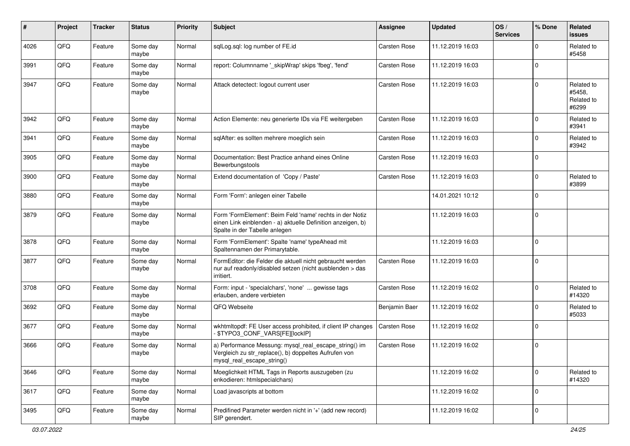| #    | Project | <b>Tracker</b> | <b>Status</b>     | <b>Priority</b> | <b>Subject</b>                                                                                                                                           | <b>Assignee</b>     | <b>Updated</b>   | OS/<br><b>Services</b> | % Done         | Related<br><b>issues</b>                    |
|------|---------|----------------|-------------------|-----------------|----------------------------------------------------------------------------------------------------------------------------------------------------------|---------------------|------------------|------------------------|----------------|---------------------------------------------|
| 4026 | QFQ     | Feature        | Some day<br>maybe | Normal          | sqlLog.sql: log number of FE.id                                                                                                                          | <b>Carsten Rose</b> | 11.12.2019 16:03 |                        | $\mathbf 0$    | Related to<br>#5458                         |
| 3991 | QFQ     | Feature        | Some day<br>maybe | Normal          | report: Columnname '_skipWrap' skips 'fbeg', 'fend'                                                                                                      | <b>Carsten Rose</b> | 11.12.2019 16:03 |                        | $\mathbf 0$    |                                             |
| 3947 | QFQ     | Feature        | Some day<br>maybe | Normal          | Attack detectect: logout current user                                                                                                                    | <b>Carsten Rose</b> | 11.12.2019 16:03 |                        | $\Omega$       | Related to<br>#5458,<br>Related to<br>#6299 |
| 3942 | QFQ     | Feature        | Some day<br>maybe | Normal          | Action Elemente: neu generierte IDs via FE weitergeben                                                                                                   | <b>Carsten Rose</b> | 11.12.2019 16:03 |                        | $\mathbf 0$    | Related to<br>#3941                         |
| 3941 | QFQ     | Feature        | Some day<br>maybe | Normal          | sqlAfter: es sollten mehrere moeglich sein                                                                                                               | Carsten Rose        | 11.12.2019 16:03 |                        | $\mathbf 0$    | Related to<br>#3942                         |
| 3905 | QFQ     | Feature        | Some day<br>maybe | Normal          | Documentation: Best Practice anhand eines Online<br>Bewerbungstools                                                                                      | Carsten Rose        | 11.12.2019 16:03 |                        | $\mathbf 0$    |                                             |
| 3900 | QFQ     | Feature        | Some day<br>maybe | Normal          | Extend documentation of 'Copy / Paste'                                                                                                                   | Carsten Rose        | 11.12.2019 16:03 |                        | $\mathbf 0$    | Related to<br>#3899                         |
| 3880 | QFQ     | Feature        | Some day<br>maybe | Normal          | Form 'Form': anlegen einer Tabelle                                                                                                                       |                     | 14.01.2021 10:12 |                        | $\mathbf 0$    |                                             |
| 3879 | QFQ     | Feature        | Some day<br>maybe | Normal          | Form 'FormElement': Beim Feld 'name' rechts in der Notiz<br>einen Link einblenden - a) aktuelle Definition anzeigen, b)<br>Spalte in der Tabelle anlegen |                     | 11.12.2019 16:03 |                        | $\Omega$       |                                             |
| 3878 | QFQ     | Feature        | Some day<br>maybe | Normal          | Form 'FormElement': Spalte 'name' typeAhead mit<br>Spaltennamen der Primarytable.                                                                        |                     | 11.12.2019 16:03 |                        | $\Omega$       |                                             |
| 3877 | QFQ     | Feature        | Some day<br>maybe | Normal          | FormEditor: die Felder die aktuell nicht gebraucht werden<br>nur auf readonly/disabled setzen (nicht ausblenden > das<br>irritiert.                      | <b>Carsten Rose</b> | 11.12.2019 16:03 |                        | $\mathbf 0$    |                                             |
| 3708 | QFQ     | Feature        | Some day<br>maybe | Normal          | Form: input - 'specialchars', 'none'  gewisse tags<br>erlauben, andere verbieten                                                                         | Carsten Rose        | 11.12.2019 16:02 |                        | $\mathbf 0$    | Related to<br>#14320                        |
| 3692 | QFQ     | Feature        | Some day<br>maybe | Normal          | QFQ Webseite                                                                                                                                             | Benjamin Baer       | 11.12.2019 16:02 |                        | $\mathbf 0$    | Related to<br>#5033                         |
| 3677 | QFQ     | Feature        | Some day<br>maybe | Normal          | wkhtmltopdf: FE User access prohibited, if client IP changes<br>- \$TYPO3_CONF_VARS[FE][lockIP]                                                          | Carsten Rose        | 11.12.2019 16:02 |                        | $\mathbf 0$    |                                             |
| 3666 | QFQ     | Feature        | Some day<br>maybe | Normal          | a) Performance Messung: mysql_real_escape_string() im<br>Vergleich zu str_replace(), b) doppeltes Aufrufen von<br>mysql_real_escape_string()             | <b>Carsten Rose</b> | 11.12.2019 16:02 |                        | $\mathbf 0$    |                                             |
| 3646 | QFQ     | Feature        | Some day<br>maybe | Normal          | Moeglichkeit HTML Tags in Reports auszugeben (zu<br>enkodieren: htmlspecialchars)                                                                        |                     | 11.12.2019 16:02 |                        | $\mathbf 0$    | Related to<br>#14320                        |
| 3617 | QFQ     | Feature        | Some day<br>maybe | Normal          | Load javascripts at bottom                                                                                                                               |                     | 11.12.2019 16:02 |                        | $\mathbf 0$    |                                             |
| 3495 | QFQ     | Feature        | Some day<br>maybe | Normal          | Predifined Parameter werden nicht in '+' (add new record)<br>SIP gerendert.                                                                              |                     | 11.12.2019 16:02 |                        | $\overline{0}$ |                                             |